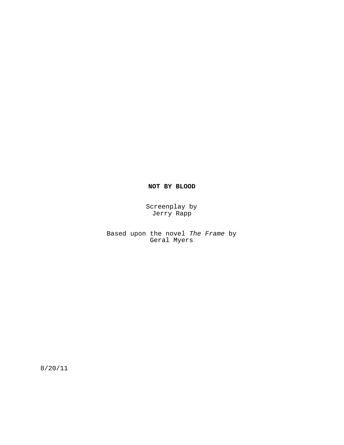# **NOT BY BLOOD**

Screenplay by Jerry Rapp

Based upon the novel The Frame by Geral Myers

8/20/11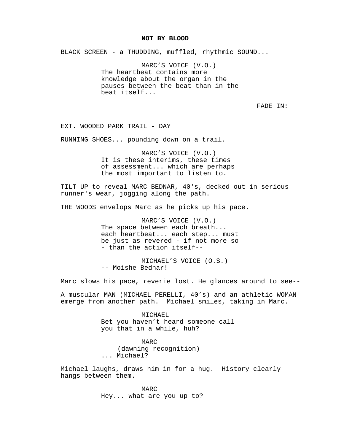### **NOT BY BLOOD**

BLACK SCREEN - a THUDDING, muffled, rhythmic SOUND...

MARC'S VOICE (V.O.) The heartbeat contains more knowledge about the organ in the pauses between the beat than in the beat itself...

FADE IN:

EXT. WOODED PARK TRAIL - DAY

RUNNING SHOES... pounding down on a trail.

MARC'S VOICE (V.O.) It is these interims, these times of assessment... which are perhaps the most important to listen to.

TILT UP to reveal MARC BEDNAR, 40's, decked out in serious runner's wear, jogging along the path.

THE WOODS envelops Marc as he picks up his pace.

MARC'S VOICE (V.O.) The space between each breath... each heartbeat... each step... must be just as revered - if not more so - than the action itself--

MICHAEL'S VOICE (O.S.) -- Moishe Bednar!

Marc slows his pace, reverie lost. He glances around to see--

A muscular MAN (MICHAEL PERELLI, 40's) and an athletic WOMAN emerge from another path. Michael smiles, taking in Marc.

> MICHAEL Bet you haven't heard someone call you that in a while, huh?

MARC (dawning recognition) ... Michael?

Michael laughs, draws him in for a hug. History clearly hangs between them.

> MARC Hey... what are you up to?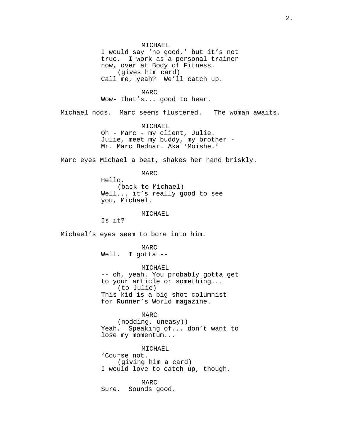MICHAEL I would say 'no good,' but it's not true. I work as a personal trainer now, over at Body of Fitness. (gives him card) Call me, yeah? We'll catch up.

MARC Wow- that's... good to hear.

Michael nods. Marc seems flustered. The woman awaits.

MICHAEL Oh - Marc - my client, Julie. Julie, meet my buddy, my brother - Mr. Marc Bednar. Aka 'Moishe.'

Marc eyes Michael a beat, shakes her hand briskly.

MARC Hello. (back to Michael) Well... it's really good to see you, Michael.

MICHAEL

Is it?

Michael's eyes seem to bore into him.

MARC Well. I gotta --

MICHAEL

-- oh, yeah. You probably gotta get to your article or something... (to Julie) This kid is a big shot columnist for Runner's World magazine.

MARC

(nodding, uneasy)) Yeah. Speaking of... don't want to lose my momentum...

MICHAEL 'Course not. (giving him a card) I would love to catch up, though.

MARC Sure. Sounds good.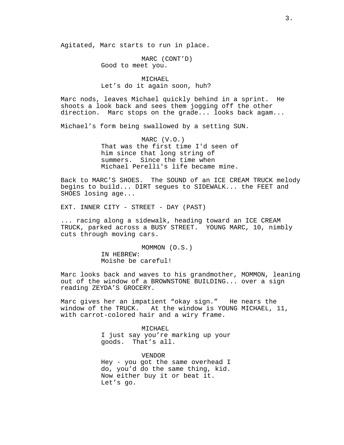Agitated, Marc starts to run in place.

MARC (CONT'D) Good to meet you.

# MICHAEL Let's do it again soon, huh?

Marc nods, leaves Michael quickly behind in a sprint. He shoots a look back and sees them jogging off the other direction. Marc stops on the grade... looks back agam...

Michael's form being swallowed by a setting SUN.

MARC (V.O.) That was the first time I'd seen of him since that long string of summers. Since the time when Michael Perelli's life became mine.

Back to MARC'S SHOES. The SOUND of an ICE CREAM TRUCK melody begins to build... DIRT segues to SIDEWALK... the FEET and SHOES losing age...

EXT. INNER CITY - STREET - DAY (PAST)

... racing along a sidewalk, heading toward an ICE CREAM TRUCK, parked across a BUSY STREET. YOUNG MARC, 10, nimbly cuts through moving cars.

> MOMMON (O.S.) IN HEBREW: Moishe be careful!

Marc looks back and waves to his grandmother, MOMMON, leaning out of the window of a BROWNSTONE BUILDING... over a sign reading ZEYDA'S GROCERY.

Marc gives her an impatient "okay sign." He nears the window of the TRUCK. At the window is YOUNG MICHAEL, 11, with carrot-colored hair and a wiry frame.

> MICHAEL I just say you're marking up your goods. That's all.

> VENDOR Hey - you got the same overhead I do, you'd do the same thing, kid. Now either buy it or beat it. Let's go.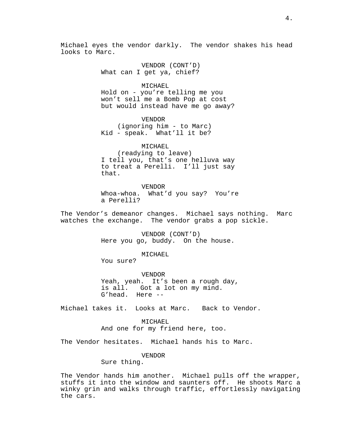Michael eyes the vendor darkly. The vendor shakes his head looks to Marc.

> VENDOR (CONT'D) What can I get ya, chief?

MICHAEL Hold on - you're telling me you won't sell me a Bomb Pop at cost but would instead have me go away?

VENDOR (ignoring him - to Marc) Kid - speak. What'll it be?

MICHAEL (readying to leave) I tell you, that's one helluva way to treat a Perelli. I'll just say that.

VENDOR Whoa-whoa. What'd you say? You're a Perelli?

The Vendor's demeanor changes. Michael says nothing. Marc watches the exchange. The vendor grabs a pop sickle.

> VENDOR (CONT'D) Here you go, buddy. On the house.

> > MICHAEL

You sure?

VENDOR Yeah, yeah. It's been a rough day, is all. Got a lot on my mind. G'head. Here --

Michael takes it. Looks at Marc. Back to Vendor.

MICHAEL And one for my friend here, too.

The Vendor hesitates. Michael hands his to Marc.

# VENDOR

Sure thing.

The Vendor hands him another. Michael pulls off the wrapper, stuffs it into the window and saunters off. He shoots Marc a winky grin and walks through traffic, effortlessly navigating the cars.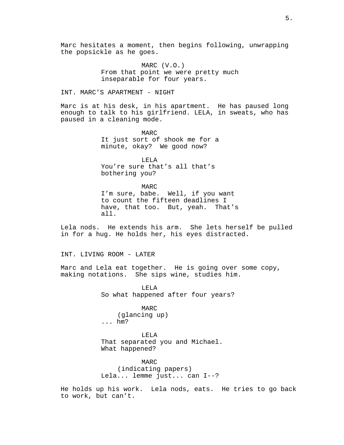Marc hesitates a moment, then begins following, unwrapping the popsickle as he goes.

> MARC (V.O.) From that point we were pretty much inseparable for four years.

# INT. MARC'S APARTMENT - NIGHT

Marc is at his desk, in his apartment. He has paused long enough to talk to his girlfriend. LELA, in sweats, who has paused in a cleaning mode.

> MARC It just sort of shook me for a minute, okay? We good now?

LELA You're sure that's all that's bothering you?

MARC I'm sure, babe. Well, if you want to count the fifteen deadlines I have, that too. But, yeah. That's all.

Lela nods. He extends his arm. She lets herself be pulled in for a hug. He holds her, his eyes distracted.

# INT. LIVING ROOM - LATER

Marc and Lela eat together. He is going over some copy, making notations. She sips wine, studies him.

> LELA So what happened after four years?

MARC (glancing up) ... hm?

LELA That separated you and Michael. What happened?

MARC (indicating papers) Lela... lemme just... can I--?

He holds up his work. Lela nods, eats. He tries to go back to work, but can't.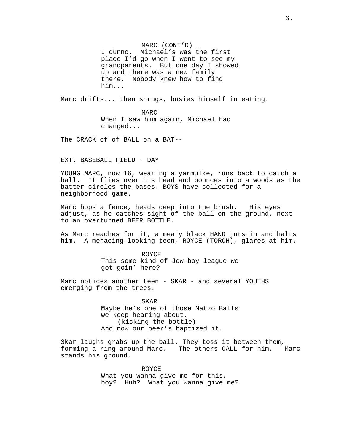MARC (CONT'D) I dunno. Michael's was the first place I'd go when I went to see my grandparents. But one day I showed up and there was a new family there. Nobody knew how to find him...

Marc drifts... then shrugs, busies himself in eating.

MARC When I saw him again, Michael had changed...

The CRACK of of BALL on a BAT--

EXT. BASEBALL FIELD - DAY

YOUNG MARC, now 16, wearing a yarmulke, runs back to catch a ball. It flies over his head and bounces into a woods as the batter circles the bases. BOYS have collected for a neighborhood game.

Marc hops a fence, heads deep into the brush. His eyes adjust, as he catches sight of the ball on the ground, next to an overturned BEER BOTTLE.

As Marc reaches for it, a meaty black HAND juts in and halts him. A menacing-looking teen, ROYCE (TORCH), glares at him.

> ROYCE This some kind of Jew-boy league we got goin' here?

Marc notices another teen - SKAR - and several YOUTHS emerging from the trees.

> SKAR Maybe he's one of those Matzo Balls we keep hearing about. (kicking the bottle) And now our beer's baptized it.

Skar laughs grabs up the ball. They toss it between them, forming a ring around Marc. The others CALL for him. Marc stands his ground.

> ROYCE What you wanna give me for this, boy? Huh? What you wanna give me?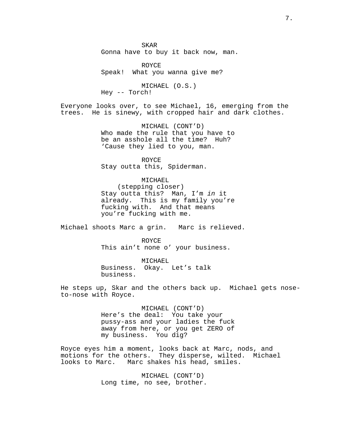SKAR Gonna have to buy it back now, man.

ROYCE Speak! What you wanna give me?

MICHAEL (O.S.) Hey -- Torch!

Everyone looks over, to see Michael, 16, emerging from the trees. He is sinewy, with cropped hair and dark clothes.

> MICHAEL (CONT'D) Who made the rule that you have to be an asshole all the time? Huh? 'Cause they lied to you, man.

ROYCE Stay outta this, Spiderman.

MICHAEL (stepping closer) Stay outta this? Man, I'm in it

already. This is my family you're fucking with. And that means you're fucking with me.

Michael shoots Marc a grin. Marc is relieved.

ROYCE This ain't none o' your business.

MICHAEL Business. Okay. Let's talk business.

He steps up, Skar and the others back up. Michael gets noseto-nose with Royce.

> MICHAEL (CONT'D) Here's the deal: You take your pussy-ass and your ladies the fuck away from here, or you get ZERO of my business. You dig?

Royce eyes him a moment, looks back at Marc, nods, and motions for the others. They disperse, wilted. Michael looks to Marc. Marc shakes his head, smiles.

> MICHAEL (CONT'D) Long time, no see, brother.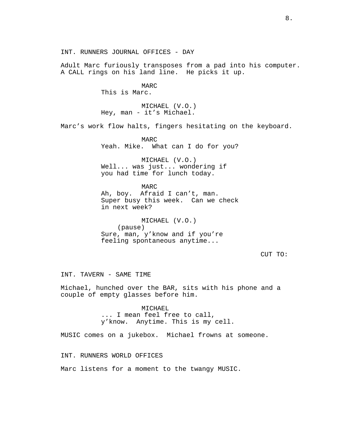INT. RUNNERS JOURNAL OFFICES - DAY

Adult Marc furiously transposes from a pad into his computer. A CALL rings on his land line. He picks it up.

> MARC This is Marc.

MICHAEL (V.O.) Hey, man - it's Michael.

Marc's work flow halts, fingers hesitating on the keyboard.

MARC Yeah. Mike. What can I do for you?

MICHAEL (V.O.) Well... was just... wondering if you had time for lunch today.

MARC Ah, boy. Afraid I can't, man. Super busy this week. Can we check in next week?

MICHAEL (V.O.) (pause) Sure, man, y'know and if you're feeling spontaneous anytime...

CUT TO:

INT. TAVERN - SAME TIME

Michael, hunched over the BAR, sits with his phone and a couple of empty glasses before him.

> MICHAEL ... I mean feel free to call, y'know. Anytime. This is my cell.

MUSIC comes on a jukebox. Michael frowns at someone.

INT. RUNNERS WORLD OFFICES

Marc listens for a moment to the twangy MUSIC.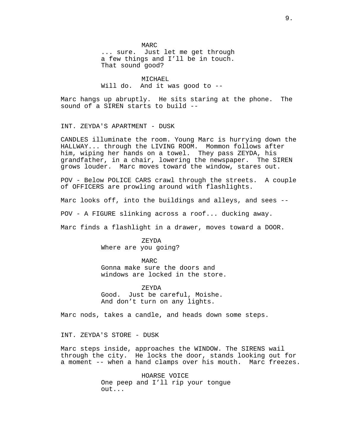MARC ... sure. Just let me get through a few things and I'll be in touch. That sound good?

MICHAEL Will do. And it was good to --

Marc hangs up abruptly. He sits staring at the phone. The sound of a SIREN starts to build --

INT. ZEYDA'S APARTMENT - DUSK

CANDLES illuminate the room. Young Marc is hurrying down the HALLWAY... through the LIVING ROOM. Mommon follows after him, wiping her hands on a towel. They pass ZEYDA, his grandfather, in a chair, lowering the newspaper. The SIREN grows louder. Marc moves toward the window, stares out.

POV - Below POLICE CARS crawl through the streets. A couple of OFFICERS are prowling around with flashlights.

Marc looks off, into the buildings and alleys, and sees --

POV - A FIGURE slinking across a roof... ducking away.

Marc finds a flashlight in a drawer, moves toward a DOOR.

ZEYDA Where are you going?

MARC Gonna make sure the doors and windows are locked in the store.

ZEYDA Good. Just be careful, Moishe. And don't turn on any lights.

Marc nods, takes a candle, and heads down some steps.

INT. ZEYDA'S STORE - DUSK

Marc steps inside, approaches the WINDOW. The SIRENS wail through the city. He locks the door, stands looking out for a moment -- when a hand clamps over his mouth. Marc freezes.

> HOARSE VOICE One peep and I'll rip your tongue out...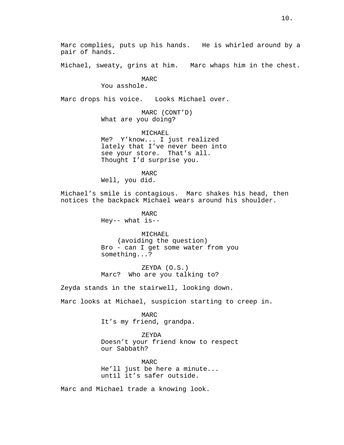Marc complies, puts up his hands. He is whirled around by a pair of hands.

Michael, sweaty, grins at him. Marc whaps him in the chest.

# MARC

You asshole.

Marc drops his voice. Looks Michael over.

MARC (CONT'D) What are you doing?

MICHAEL Me? Y'know... I just realized lately that I've never been into see your store. That's all. Thought I'd surprise you.

MARC Well, you did.

Michael's smile is contagious. Marc shakes his head, then notices the backpack Michael wears around his shoulder.

> MARC Hey-- what is--

MICHAEL (avoiding the question) Bro - can I get some water from you something...?

ZEYDA (O.S.) Marc? Who are you talking to?

Zeyda stands in the stairwell, looking down.

Marc looks at Michael, suspicion starting to creep in.

MARC It's my friend, grandpa.

ZEYDA Doesn't your friend know to respect our Sabbath?

MARC He'll just be here a minute... until it's safer outside.

Marc and Michael trade a knowing look.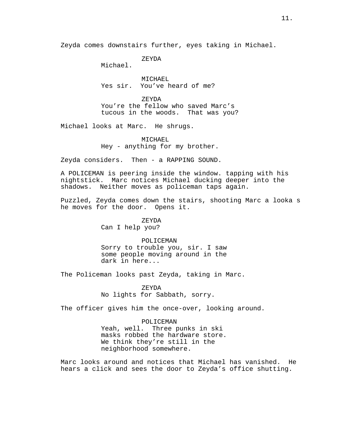Zeyda comes downstairs further, eyes taking in Michael.

ZEYDA

Michael.

MICHAEL Yes sir. You've heard of me?

ZEYDA You're the fellow who saved Marc's tucous in the woods. That was you?

Michael looks at Marc. He shrugs.

MICHAEL Hey - anything for my brother.

Zeyda considers. Then - a RAPPING SOUND.

A POLICEMAN is peering inside the window. tapping with his nightstick. Marc notices Michael ducking deeper into the shadows. Neither moves as policeman taps again.

Puzzled, Zeyda comes down the stairs, shooting Marc a looka s he moves for the door. Opens it.

ZEYDA

Can I help you?

POLICEMAN

Sorry to trouble you, sir. I saw some people moving around in the dark in here...

The Policeman looks past Zeyda, taking in Marc.

ZEYDA No lights for Sabbath, sorry.

The officer gives him the once-over, looking around.

## POLICEMAN

Yeah, well. Three punks in ski masks robbed the hardware store. We think they're still in the neighborhood somewhere.

Marc looks around and notices that Michael has vanished. He hears a click and sees the door to Zeyda's office shutting.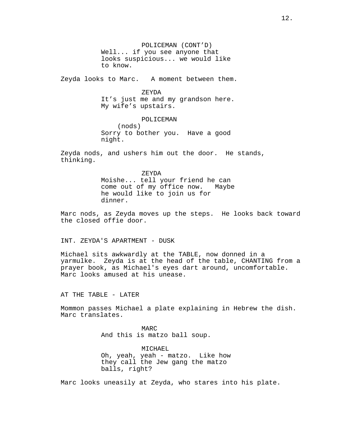POLICEMAN (CONT'D) Well... if you see anyone that looks suspicious... we would like to know.

Zeyda looks to Marc. A moment between them.

ZEYDA

It's just me and my grandson here. My wife's upstairs.

POLICEMAN (nods) Sorry to bother you. Have a good night.

Zeyda nods, and ushers him out the door. He stands, thinking.

> ZEYDA Moishe... tell your friend he can come out of my office now. Maybe he would like to join us for dinner.

Marc nods, as Zeyda moves up the steps. He looks back toward the closed offie door.

INT. ZEYDA'S APARTMENT - DUSK

Michael sits awkwardly at the TABLE, now donned in a yarmulke. Zeyda is at the head of the table, CHANTING from a prayer book, as Michael's eyes dart around, uncomfortable. Marc looks amused at his unease.

AT THE TABLE - LATER

Mommon passes Michael a plate explaining in Hebrew the dish. Marc translates.

> MARC And this is matzo ball soup.

MICHAEL Oh, yeah, yeah - matzo. Like how they call the Jew gang the matzo balls, right?

Marc looks uneasily at Zeyda, who stares into his plate.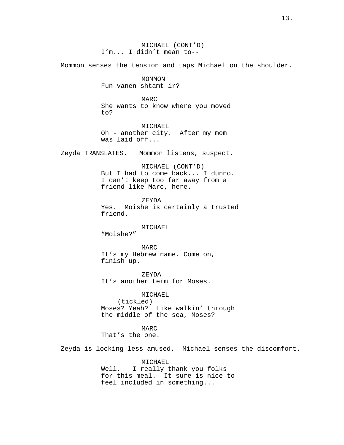MICHAEL (CONT'D) I'm... I didn't mean to--

Mommon senses the tension and taps Michael on the shoulder.

MOMMON Fun vanen shtamt ir?

MARC She wants to know where you moved to?

MICHAEL Oh - another city. After my mom was laid off...

Zeyda TRANSLATES. Mommon listens, suspect.

MICHAEL (CONT'D) But I had to come back... I dunno. I can't keep too far away from a friend like Marc, here.

ZEYDA Yes. Moishe is certainly a trusted friend.

MICHAEL

"Moishe?"

MARC It's my Hebrew name. Come on, finish up.

ZEYDA It's another term for Moses.

MICHAEL (tickled) Moses? Yeah? Like walkin' through the middle of the sea, Moses?

MARC That's the one.

Zeyda is looking less amused. Michael senses the discomfort.

MICHAEL Well. I really thank you folks for this meal. It sure is nice to feel included in something...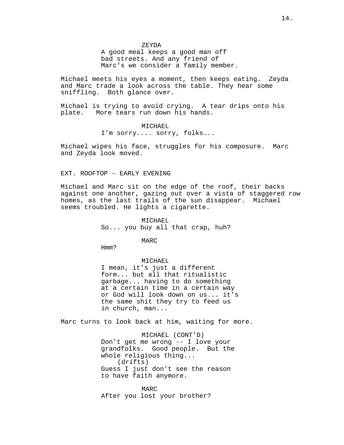ZEYDA

A good meal keeps a good man off bad streets. And any friend of Marc's we consider a family member.

Michael meets his eyes a moment, then keeps eating. Zeyda and Marc trade a look across the table. They hear some sniffling. Both glance over.

Michael is trying to avoid crying. A tear drips onto his plate. More tears run down his hands.

# MICHAEL

I'm sorry.... sorry, folks...

Michael wipes his face, struggles for his composure. Marc and Zeyda look moved.

# EXT. ROOFTOP - EARLY EVENING

Michael and Marc sit on the edge of the roof, their backs against one another, gazing out over a vista of staggered row homes, as the last trails of the sun disappear. Michael seems troubled. He lights a cigarette.

> MICHAEL So... you buy all that crap, huh?

> > MARC

Hmm?

#### MICHAEL

I mean, it's just a different form... but all that ritualistic garbage... having to do something at a certain time in a certain way or God will look down on us... it's the same shit they try to feed us in church, man...

Marc turns to look back at him, waiting for more.

MICHAEL (CONT'D) Don't get me wrong -- I love your grandfolks. Good people. But the whole religious thing... (drifts) Guess I just don't see the reason to have faith anymore.

MARC After you lost your brother?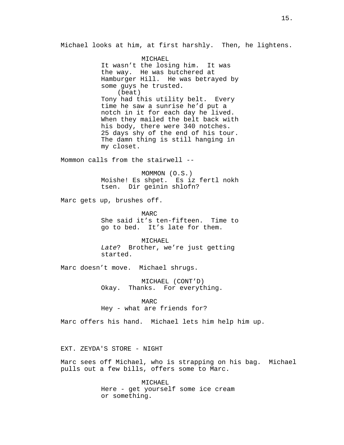Michael looks at him, at first harshly. Then, he lightens.

MICHAEL It wasn't the losing him. It was the way. He was butchered at Hamburger Hill. He was betrayed by some guys he trusted. (beat) Tony had this utility belt. Every time he saw a sunrise he'd put a notch in it for each day he lived. When they mailed the belt back with his body, there were 340 notches. 25 days shy of the end of his tour. The damn thing is still hanging in my closet.

Mommon calls from the stairwell --

MOMMON (O.S.) Moishe! Es shpet. Es iz fertl nokh tsen. Dir geinin shlofn?

Marc gets up, brushes off.

MARC She said it's ten-fifteen. Time to go to bed. It's late for them.

MICHAEL Late? Brother, we're just getting started.

Marc doesn't move. Michael shrugs.

MICHAEL (CONT'D) Okay. Thanks. For everything.

MARC

Hey - what are friends for?

Marc offers his hand. Michael lets him help him up.

EXT. ZEYDA'S STORE - NIGHT

Marc sees off Michael, who is strapping on his bag. Michael pulls out a few bills, offers some to Marc.

> MICHAEL Here - get yourself some ice cream or something.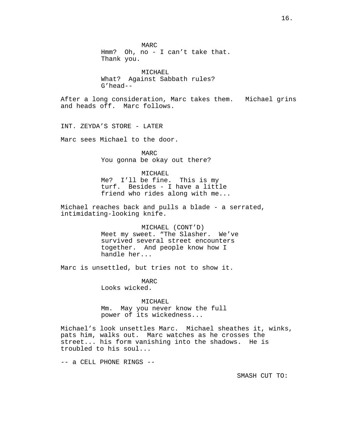MARC Hmm? Oh, no - I can't take that. Thank you.

MICHAEL What? Against Sabbath rules? G'head--

After a long consideration, Marc takes them. Michael grins and heads off. Marc follows.

INT. ZEYDA'S STORE - LATER

Marc sees Michael to the door.

MARC You gonna be okay out there?

# MICHAEL

Me? I'll be fine. This is my turf. Besides - I have a little friend who rides along with me...

Michael reaches back and pulls a blade - a serrated, intimidating-looking knife.

> MICHAEL (CONT'D) Meet my sweet. "The Slasher. We've survived several street encounters together. And people know how I handle her...

Marc is unsettled, but tries not to show it.

MARC Looks wicked.

MICHAEL Mm. May you never know the full power of its wickedness...

Michael's look unsettles Marc. Michael sheathes it, winks, pats him, walks out. Marc watches as he crosses the street... his form vanishing into the shadows. He is troubled to his soul...

-- a CELL PHONE RINGS --

SMASH CUT TO: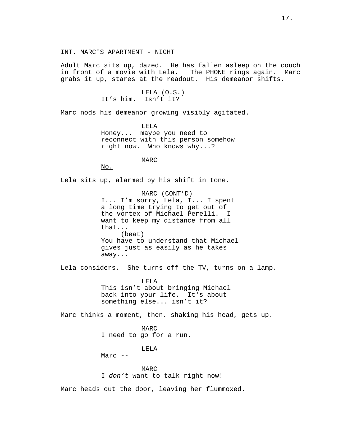Adult Marc sits up, dazed. He has fallen asleep on the couch in front of a movie with Lela. The PHONE rings again. Marc grabs it up, stares at the readout. His demeanor shifts.

> LELA (O.S.) It's him. Isn't it?

Marc nods his demeanor growing visibly agitated.

LELA Honey... maybe you need to reconnect with this person somehow right now. Who knows why...?

MARC

No.

Lela sits up, alarmed by his shift in tone.

MARC (CONT'D) I... I'm sorry, Lela, I... I spent a long time trying to get out of the vortex of Michael Perelli. I want to keep my distance from all that... (beat) You have to understand that Michael gives just as easily as he takes away...

Lela considers. She turns off the TV, turns on a lamp.

LELA This isn't about bringing Michael back into your life. It's about something else... isn't it?

Marc thinks a moment, then, shaking his head, gets up.

MARC I need to go for a run.

LELA

Marc --

MARC I don't want to talk right now!

Marc heads out the door, leaving her flummoxed.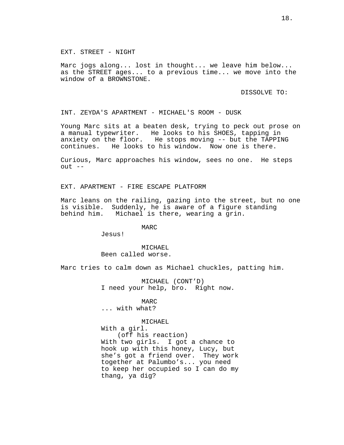EXT. STREET - NIGHT

Marc jogs along... lost in thought... we leave him below... as the STREET ages... to a previous time... we move into the window of a BROWNSTONE.

DISSOLVE TO:

INT. ZEYDA'S APARTMENT - MICHAEL'S ROOM - DUSK

Young Marc sits at a beaten desk, trying to peck out prose on a manual typewriter. He looks to his SHOES, tapping in anxiety on the floor. He stops moving -- but the TAPPING continues. He looks to his window. Now one is there.

Curious, Marc approaches his window, sees no one. He steps  $out$   $--$ 

EXT. APARTMENT - FIRE ESCAPE PLATFORM

Marc leans on the railing, gazing into the street, but no one is visible. Suddenly, he is aware of a figure standing behind him. Michael is there, wearing a grin.

MARC

Jesus!

MICHAEL Been called worse.

Marc tries to calm down as Michael chuckles, patting him.

MICHAEL (CONT'D) I need your help, bro. Right now.

# **MARC**

... with what?

### MICHAEL

With a girl. (off his reaction) With two girls. I got a chance to hook up with this honey, Lucy, but she's got a friend over. They work together at Palumbo's... you need to keep her occupied so I can do my thang, ya dig?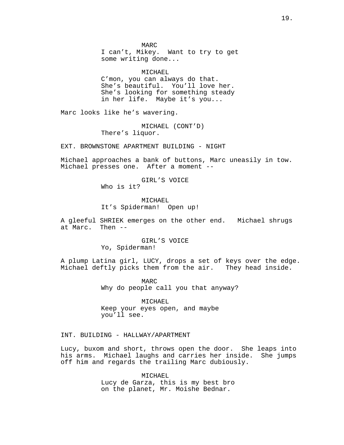MARC I can't, Mikey. Want to try to get some writing done...

MICHAEL

C'mon, you can always do that. She's beautiful. You'll love her. She's looking for something steady in her life. Maybe it's you...

Marc looks like he's wavering.

MICHAEL (CONT'D) There's liquor.

EXT. BROWNSTONE APARTMENT BUILDING - NIGHT

Michael approaches a bank of buttons, Marc uneasily in tow. Michael presses one. After a moment --

GIRL'S VOICE

Who is it?

MICHAEL It's Spiderman! Open up!

A gleeful SHRIEK emerges on the other end. Michael shrugs at Marc. Then --

> GIRL'S VOICE Yo, Spiderman!

A plump Latina girl, LUCY, drops a set of keys over the edge. Michael deftly picks them from the air. They head inside.

> MARC Why do people call you that anyway?

MICHAEL Keep your eyes open, and maybe you'll see.

# INT. BUILDING - HALLWAY/APARTMENT

Lucy, buxom and short, throws open the door. She leaps into his arms. Michael laughs and carries her inside. She jumps off him and regards the trailing Marc dubiously.

> MICHAEL Lucy de Garza, this is my best bro on the planet, Mr. Moishe Bednar.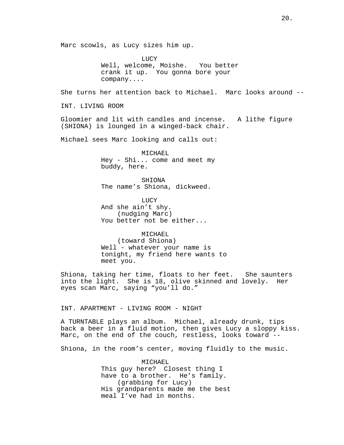Marc scowls, as Lucy sizes him up. LUCY Well, welcome, Moishe. You better crank it up. You gonna bore your company.... She turns her attention back to Michael. Marc looks around -- INT. LIVING ROOM Gloomier and lit with candles and incense. A lithe figure (SHIONA) is lounged in a winged-back chair. Michael sees Marc looking and calls out: MICHAEL Hey - Shi... come and meet my buddy, here. SHIONA The name's Shiona, dickweed. **LUCY** And she ain't shy. (nudging Marc) You better not be either... MICHAEL (toward Shiona) Well - whatever your name is tonight, my friend here wants to meet you. Shiona, taking her time, floats to her feet. She saunters into the light. She is 18, olive skinned and lovely. Her eyes scan Marc, saying "you'll do." INT. APARTMENT - LIVING ROOM - NIGHT A TURNTABLE plays an album. Michael, already drunk, tips back a beer in a fluid motion, then gives Lucy a sloppy kiss. Marc, on the end of the couch, restless, looks toward --Shiona, in the room's center, moving fluidly to the music.

> MICHAEL This guy here? Closest thing I have to a brother. He's family. (grabbing for Lucy) His grandparents made me the best meal I've had in months.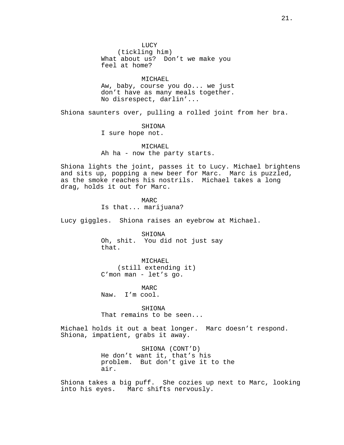**LUCY** (tickling him) What about us? Don't we make you feel at home?

MICHAEL Aw, baby, course you do... we just don't have as many meals together. No disrespect, darlin'...

Shiona saunters over, pulling a rolled joint from her bra.

SHIONA

I sure hope not.

MICHAEL Ah ha - now the party starts.

Shiona lights the joint, passes it to Lucy. Michael brightens and sits up, popping a new beer for Marc. Marc is puzzled, as the smoke reaches his nostrils. Michael takes a long drag, holds it out for Marc.

> MARC Is that... marijuana?

Lucy giggles. Shiona raises an eyebrow at Michael.

SHIONA Oh, shit. You did not just say that.

MICHAEL (still extending it) C'mon man - let's go.

MARC Naw. I'm cool.

SHIONA That remains to be seen...

Michael holds it out a beat longer. Marc doesn't respond. Shiona, impatient, grabs it away.

> SHIONA (CONT'D) He don't want it, that's his problem. But don't give it to the air.

Shiona takes a big puff. She cozies up next to Marc, looking into his eyes. Marc shifts nervously.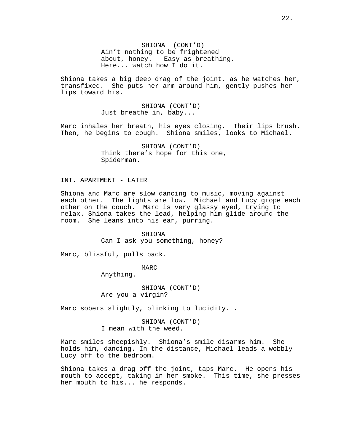SHIONA (CONT'D) Ain't nothing to be frightened about, honey. Easy as breathing. Here... watch how I do it.

Shiona takes a big deep drag of the joint, as he watches her, transfixed. She puts her arm around him, gently pushes her lips toward his.

> SHIONA (CONT'D) Just breathe in, baby...

Marc inhales her breath, his eyes closing. Their lips brush. Then, he begins to cough. Shiona smiles, looks to Michael.

> SHIONA (CONT'D) Think there's hope for this one, Spiderman.

INT. APARTMENT - LATER

Shiona and Marc are slow dancing to music, moving against each other. The lights are low. Michael and Lucy grope each other on the couch. Marc is very glassy eyed, trying to relax. Shiona takes the lead, helping him glide around the room. She leans into his ear, purring.

> SHIONA Can I ask you something, honey?

Marc, blissful, pulls back.

MARC

Anything.

SHIONA (CONT'D) Are you a virgin?

Marc sobers slightly, blinking to lucidity. .

SHIONA (CONT'D) I mean with the weed.

Marc smiles sheepishly. Shiona's smile disarms him. She holds him, dancing. In the distance, Michael leads a wobbly Lucy off to the bedroom.

Shiona takes a drag off the joint, taps Marc. He opens his mouth to accept, taking in her smoke. This time, she presses her mouth to his... he responds.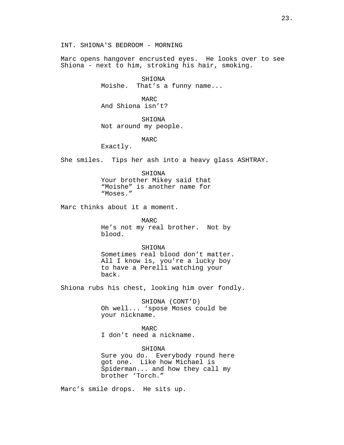INT. SHIONA'S BEDROOM - MORNING

Marc opens hangover encrusted eyes. He looks over to see Shiona - next to him, stroking his hair, smoking.

### SHIONA

Moishe. That's a funny name...

# MARC And Shiona isn't?

SHIONA Not around my people.

MARC

Exactly.

She smiles. Tips her ash into a heavy glass ASHTRAY.

#### SHIONA

Your brother Mikey said that "Moishe" is another name for "Moses."

Marc thinks about it a moment.

MARC He's not my real brother. Not by blood.

SHIONA Sometimes real blood don't matter. All I know is, you're a lucky boy to have a Perelli watching your back.

Shiona rubs his chest, looking him over fondly.

SHIONA (CONT'D) Oh well... 'spose Moses could be your nickname.

MARC I don't need a nickname.

SHIONA Sure you do. Everybody round here got one. Like how Michael is Spiderman... and how they call my brother 'Torch."

Marc's smile drops. He sits up.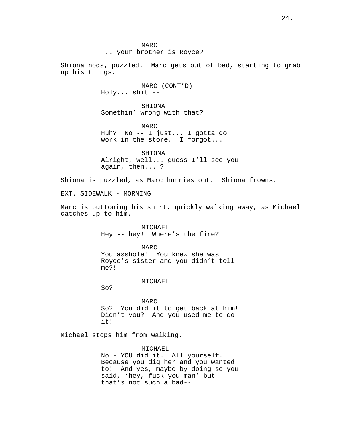Shiona nods, puzzled. Marc gets out of bed, starting to grab up his things.

> MARC (CONT'D) Holy... shit --

SHIONA Somethin' wrong with that?

MARC Huh? No -- I just... I gotta go work in the store. I forgot...

SHIONA Alright, well... guess I'll see you again, then... ?

Shiona is puzzled, as Marc hurries out. Shiona frowns.

EXT. SIDEWALK - MORNING

Marc is buttoning his shirt, quickly walking away, as Michael catches up to him.

> MICHAEL. Hey -- hey! Where's the fire?

MARC You asshole! You knew she was Royce's sister and you didn't tell me?!

MICHAEL

So?

MARC So? You did it to get back at him! Didn't you? And you used me to do it!

Michael stops him from walking.

MICHAEL No - YOU did it. All yourself. Because you dig her and you wanted to! And yes, maybe by doing so you said, 'hey, fuck you man' but that's not such a bad--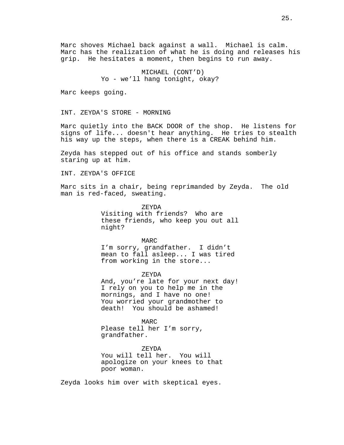Marc shoves Michael back against a wall. Michael is calm. Marc has the realization of what he is doing and releases his grip. He hesitates a moment, then begins to run away.

> MICHAEL (CONT'D) Yo - we'll hang tonight, okay?

Marc keeps going.

INT. ZEYDA'S STORE - MORNING

Marc quietly into the BACK DOOR of the shop. He listens for signs of life... doesn't hear anything. He tries to stealth his way up the steps, when there is a CREAK behind him.

Zeyda has stepped out of his office and stands somberly staring up at him.

INT. ZEYDA'S OFFICE

Marc sits in a chair, being reprimanded by Zeyda. The old man is red-faced, sweating.

> ZEYDA Visiting with friends? Who are these friends, who keep you out all night?

> > MARC

I'm sorry, grandfather. I didn't mean to fall asleep... I was tired from working in the store...

ZEYDA

And, you're late for your next day! I rely on you to help me in the mornings, and I have no one! You worried your grandmother to death! You should be ashamed!

MARC Please tell her I'm sorry, grandfather.

ZEYDA You will tell her. You will apologize on your knees to that poor woman.

Zeyda looks him over with skeptical eyes.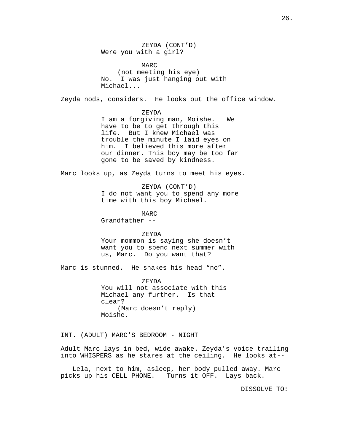ZEYDA (CONT'D) Were you with a girl?

MARC (not meeting his eye) No. I was just hanging out with Michael...

Zeyda nods, considers. He looks out the office window.

### ZEYDA

I am a forgiving man, Moishe. We have to be to get through this life. But I knew Michael was trouble the minute I laid eyes on him. I believed this more after our dinner. This boy may be too far gone to be saved by kindness.

Marc looks up, as Zeyda turns to meet his eyes.

ZEYDA (CONT'D) I do not want you to spend any more time with this boy Michael.

MARC Grandfather --

# ZEYDA

Your mommon is saying she doesn't want you to spend next summer with us, Marc. Do you want that?

Marc is stunned. He shakes his head "no".

ZEYDA You will not associate with this Michael any further. Is that clear? (Marc doesn't reply) Moishe.

INT. (ADULT) MARC'S BEDROOM - NIGHT

Adult Marc lays in bed, wide awake. Zeyda's voice trailing into WHISPERS as he stares at the ceiling. He looks at--

-- Lela, next to him, asleep, her body pulled away. Marc picks up his CELL PHONE. Turns it OFF. Lays back.

DISSOLVE TO: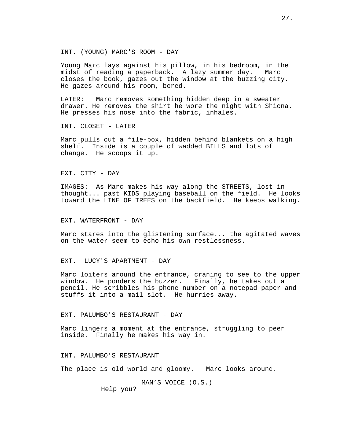INT. (YOUNG) MARC'S ROOM - DAY

Young Marc lays against his pillow, in his bedroom, in the midst of reading a paperback. A lazy summer day. Marc closes the book, gazes out the window at the buzzing city. He gazes around his room, bored.

LATER: Marc removes something hidden deep in a sweater drawer. He removes the shirt he wore the night with Shiona. He presses his nose into the fabric, inhales.

INT. CLOSET - LATER

Marc pulls out a file-box, hidden behind blankets on a high shelf. Inside is a couple of wadded BILLS and lots of change. He scoops it up.

EXT. CITY - DAY

IMAGES: As Marc makes his way along the STREETS, lost in thought... past KIDS playing baseball on the field. He looks toward the LINE OF TREES on the backfield. He keeps walking.

EXT. WATERFRONT - DAY

Marc stares into the glistening surface... the agitated waves on the water seem to echo his own restlessness.

EXT. LUCY'S APARTMENT - DAY

Marc loiters around the entrance, craning to see to the upper window. He ponders the buzzer. Finally, he takes out a pencil. He scribbles his phone number on a notepad paper and stuffs it into a mail slot. He hurries away.

EXT. PALUMBO'S RESTAURANT - DAY

Marc lingers a moment at the entrance, struggling to peer inside. Finally he makes his way in.

INT. PALUMBO'S RESTAURANT

The place is old-world and gloomy. Marc looks around.

MAN'S VOICE (O.S.) Help you?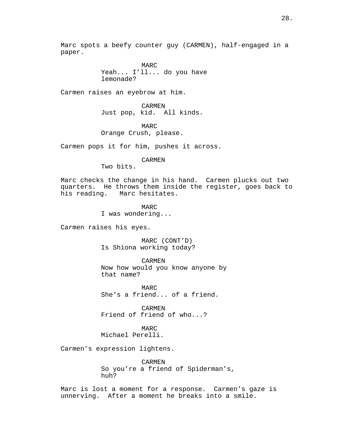Marc spots a beefy counter guy (CARMEN), half-engaged in a paper.

> MARC Yeah... I'll... do you have lemonade?

Carmen raises an eyebrow at him.

CARMEN Just pop, kid. All kinds.

MARC Orange Crush, please.

Carmen pops it for him, pushes it across.

CARMEN

Two bits.

Marc checks the change in his hand. Carmen plucks out two quarters. He throws them inside the register, goes back to his reading. Marc hesitates.

> MARC I was wondering...

Carmen raises his eyes.

MARC (CONT'D) Is Shiona working today?

CARMEN Now how would you know anyone by that name?

MARC She's a friend... of a friend.

CARMEN Friend of friend of who...?

MARC Michael Perelli.

Carmen's expression lightens.

CARMEN So you're a friend of Spiderman's, huh?

Marc is lost a moment for a response. Carmen's gaze is unnerving. After a moment he breaks into a smile.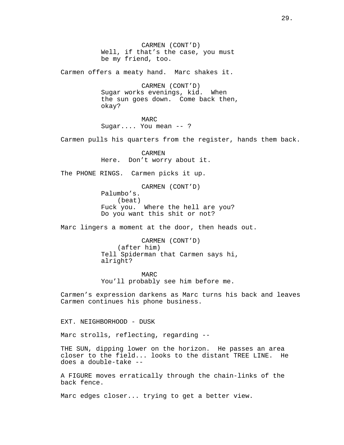CARMEN (CONT'D) Well, if that's the case, you must be my friend, too.

Carmen offers a meaty hand. Marc shakes it.

CARMEN (CONT'D) Sugar works evenings, kid. When the sun goes down. Come back then, okay?

MARC Sugar.... You mean -- ?

Carmen pulls his quarters from the register, hands them back.

CARMEN Here. Don't worry about it.

The PHONE RINGS. Carmen picks it up.

CARMEN (CONT'D) Palumbo's. (beat) Fuck you. Where the hell are you? Do you want this shit or not?

Marc lingers a moment at the door, then heads out.

CARMEN (CONT'D) (after him) Tell Spiderman that Carmen says hi, alright?

MARC You'll probably see him before me.

Carmen's expression darkens as Marc turns his back and leaves Carmen continues his phone business.

EXT. NEIGHBORHOOD - DUSK

Marc strolls, reflecting, regarding --

THE SUN, dipping lower on the horizon. He passes an area closer to the field... looks to the distant TREE LINE. He does a double-take --

A FIGURE moves erratically through the chain-links of the back fence.

Marc edges closer... trying to get a better view.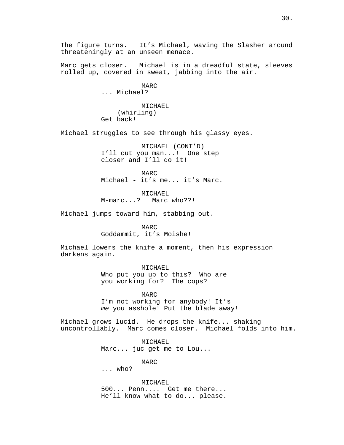The figure turns. It's Michael, waving the Slasher around threateningly at an unseen menace.

Marc gets closer. Michael is in a dreadful state, sleeves rolled up, covered in sweat, jabbing into the air.

> MARC ... Michael?

MICHAEL (whirling) Get back!

Michael struggles to see through his glassy eyes.

MICHAEL (CONT'D) I'll cut you man...! One step closer and I'll do it!

MARC Michael - it's me... it's Marc.

MICHAEL M-marc...? Marc who??!

Michael jumps toward him, stabbing out.

MARC

Goddammit, it's Moishe!

Michael lowers the knife a moment, then his expression darkens again.

MICHAEL

Who put you up to this? Who are you working for? The cops?

MARC I'm not working for anybody! It's me you asshole! Put the blade away!

Michael grows lucid. He drops the knife... shaking uncontrollably. Marc comes closer. Michael folds into him.

> MICHAEL Marc... juc get me to Lou...

> > MARC

... who?

MICHAEL 500... Penn.... Get me there... He'll know what to do... please.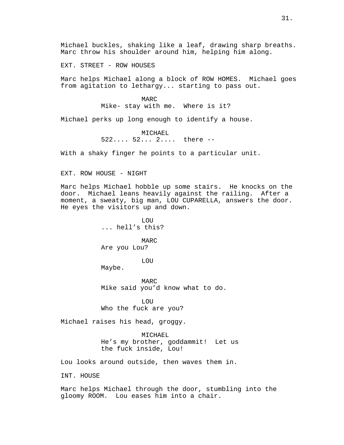Michael buckles, shaking like a leaf, drawing sharp breaths. Marc throw his shoulder around him, helping him along.

EXT. STREET - ROW HOUSES

Marc helps Michael along a block of ROW HOMES. Michael goes from agitation to lethargy... starting to pass out.

> MARC Mike- stay with me. Where is it?

Michael perks up long enough to identify a house.

MICHAEL 522.... 52... 2.... there --

With a shaky finger he points to a particular unit.

EXT. ROW HOUSE - NIGHT

Marc helps Michael hobble up some stairs. He knocks on the door. Michael leans heavily against the railing. After a moment, a sweaty, big man, LOU CUPARELLA, answers the door. He eyes the visitors up and down.

> LOU ... hell's this?

MARC Are you Lou?

LOU

Maybe.

MARC Mike said you'd know what to do.

**LOU** Who the fuck are you?

Michael raises his head, groggy.

MICHAEL He's my brother, goddammit! Let us the fuck inside, Lou!

Lou looks around outside, then waves them in.

INT. HOUSE

Marc helps Michael through the door, stumbling into the gloomy ROOM. Lou eases him into a chair.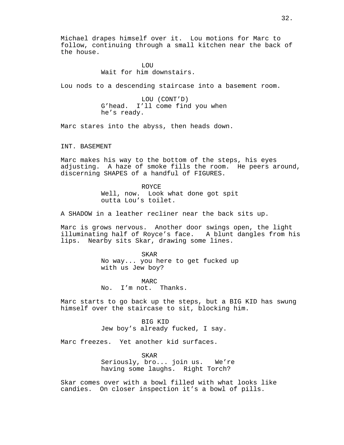Michael drapes himself over it. Lou motions for Marc to follow, continuing through a small kitchen near the back of the house.

> **LOU** Wait for him downstairs.

Lou nods to a descending staircase into a basement room.

LOU (CONT'D) G'head. I'll come find you when he's ready.

Marc stares into the abyss, then heads down.

INT. BASEMENT

Marc makes his way to the bottom of the steps, his eyes adjusting. A haze of smoke fills the room. He peers around, discerning SHAPES of a handful of FIGURES.

> ROYCE Well, now. Look what done got spit outta Lou's toilet.

A SHADOW in a leather recliner near the back sits up.

Marc is grows nervous. Another door swings open, the light illuminating half of Royce's face. A blunt dangles from his lips. Nearby sits Skar, drawing some lines.

> SKAR No way... you here to get fucked up with us Jew boy?

MARC No. I'm not. Thanks.

Marc starts to go back up the steps, but a BIG KID has swung himself over the staircase to sit, blocking him.

BIG KID

Jew boy's already fucked, I say.

Marc freezes. Yet another kid surfaces.

SKAR Seriously, bro... join us. We're having some laughs. Right Torch?

Skar comes over with a bowl filled with what looks like candies. On closer inspection it's a bowl of pills.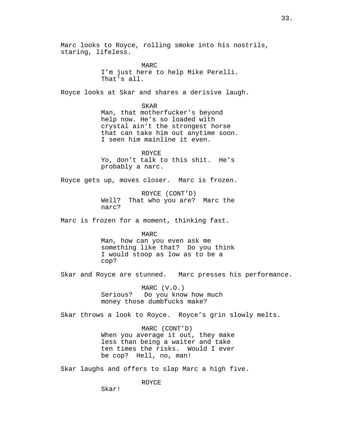Marc looks to Royce, rolling smoke into his nostrils, staring, lifeless. MARC

I'm just here to help Mike Perelli. That's all.

Royce looks at Skar and shares a derisive laugh.

SKAR Man, that motherfucker's beyond help now. He's so loaded with crystal ain't the strongest horse that can take him out anytime soon. I seen him mainline it even.

ROYCE Yo, don't talk to this shit. He's probably a narc.

Royce gets up, moves closer. Marc is frozen.

ROYCE (CONT'D) Well? That who you are? Marc the narc?

Marc is frozen for a moment, thinking fast.

MARC Man, how can you even ask me something like that? Do you think I would stoop as low as to be a cop?

Skar and Royce are stunned. Marc presses his performance.

MARC (V.O.) Serious? Do you know how much money those dumbfucks make?

Skar throws a look to Royce. Royce's grin slowly melts.

MARC (CONT'D) When you average it out, they make less than being a waiter and take ten times the risks. Would I ever be cop? Hell, no, man!

Skar laughs and offers to slap Marc a high five.

ROYCE

Skar!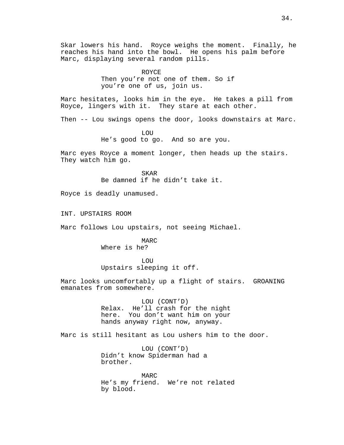Skar lowers his hand. Royce weighs the moment. Finally, he reaches his hand into the bowl. He opens his palm before Marc, displaying several random pills.

> ROYCE Then you're not one of them. So if you're one of us, join us.

Marc hesitates, looks him in the eye. He takes a pill from Royce, lingers with it. They stare at each other.

Then -- Lou swings opens the door, looks downstairs at Marc.

**LOU** He's good to go. And so are you.

Marc eyes Royce a moment longer, then heads up the stairs. They watch him go.

> SKAR Be damned if he didn't take it.

Royce is deadly unamused.

INT. UPSTAIRS ROOM

Marc follows Lou upstairs, not seeing Michael.

MARC Where is he?

**LOU** Upstairs sleeping it off.

Marc looks uncomfortably up a flight of stairs. GROANING emanates from somewhere.

> LOU (CONT'D) Relax. He'll crash for the night here. You don't want him on your hands anyway right now, anyway.

Marc is still hesitant as Lou ushers him to the door.

LOU (CONT'D) Didn't know Spiderman had a brother.

MARC He's my friend. We're not related by blood.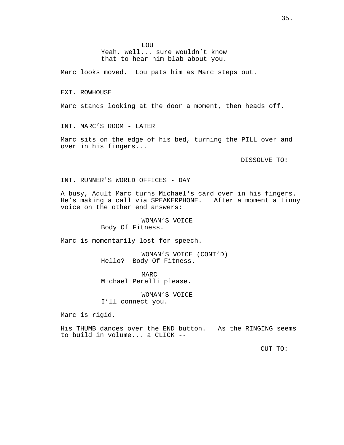LOU Yeah, well... sure wouldn't know that to hear him blab about you.

Marc looks moved. Lou pats him as Marc steps out.

EXT. ROWHOUSE

Marc stands looking at the door a moment, then heads off.

INT. MARC'S ROOM - LATER

Marc sits on the edge of his bed, turning the PILL over and over in his fingers...

DISSOLVE TO:

INT. RUNNER'S WORLD OFFICES - DAY

A busy, Adult Marc turns Michael's card over in his fingers. He's making a call via SPEAKERPHONE. After a moment a tinny voice on the other end answers:

> WOMAN'S VOICE Body Of Fitness.

Marc is momentarily lost for speech.

WOMAN'S VOICE (CONT'D) Hello? Body Of Fitness.

MARC Michael Perelli please.

WOMAN'S VOICE

I'll connect you.

Marc is rigid.

His THUMB dances over the END button. As the RINGING seems to build in volume... a CLICK --

CUT TO: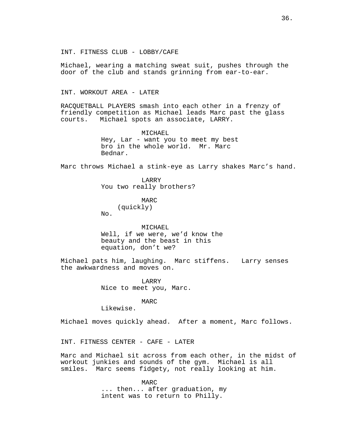INT. FITNESS CLUB - LOBBY/CAFE

Michael, wearing a matching sweat suit, pushes through the door of the club and stands grinning from ear-to-ear.

INT. WORKOUT AREA - LATER

RACQUETBALL PLAYERS smash into each other in a frenzy of friendly competition as Michael leads Marc past the glass courts. Michael spots an associate, LARRY.

> MICHAEL Hey, Lar - want you to meet my best bro in the whole world. Mr. Marc Bednar.

Marc throws Michael a stink-eye as Larry shakes Marc's hand.

LARRY You two really brothers?

> MARC (quickly)

No.

MICHAEL Well, if we were, we'd know the beauty and the beast in this equation, don't we?

Michael pats him, laughing. Marc stiffens. Larry senses the awkwardness and moves on.

> LARRY Nice to meet you, Marc.

# MARC

Likewise.

Michael moves quickly ahead. After a moment, Marc follows.

INT. FITNESS CENTER - CAFE - LATER

Marc and Michael sit across from each other, in the midst of workout junkies and sounds of the gym. Michael is all smiles. Marc seems fidgety, not really looking at him.

> MARC ... then... after graduation, my intent was to return to Philly.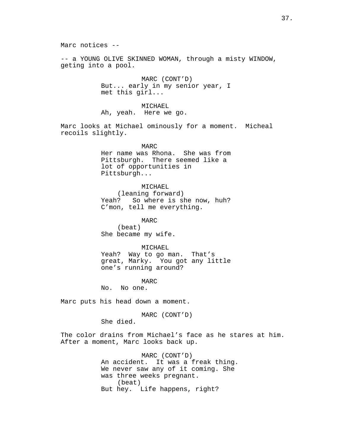Marc notices --

-- a YOUNG OLIVE SKINNED WOMAN, through a misty WINDOW, geting into a pool.

> MARC (CONT'D) But... early in my senior year, I met this girl...

# MICHAEL

Ah, yeah. Here we go.

Marc looks at Michael ominously for a moment. Micheal recoils slightly.

> MARC Her name was Rhona. She was from Pittsburgh. There seemed like a lot of opportunities in Pittsburgh...

### MICHAEL

(leaning forward) Yeah? So where is she now, huh? C'mon, tell me everything.

MARC

(beat) She became my wife.

# MICHAEL

Yeah? Way to go man. That's great, Marky. You got any little one's running around?

MARC

No. No one.

Marc puts his head down a moment.

MARC (CONT'D)

She died.

The color drains from Michael's face as he stares at him. After a moment, Marc looks back up.

> MARC (CONT'D) An accident. It was a freak thing. We never saw any of it coming. She was three weeks pregnant. (beat) But hey. Life happens, right?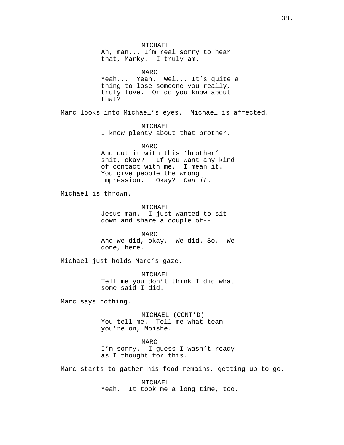MICHAEL Ah, man... I'm real sorry to hear that, Marky. I truly am.

MARC Yeah... Yeah. Wel... It's quite a thing to lose someone you really, truly love. Or do you know about that?

Marc looks into Michael's eyes. Michael is affected.

MICHAEL I know plenty about that brother.

### MARC

And cut it with this 'brother' shit, okay? If you want any kind of contact with me. I mean it. You give people the wrong impression. Okay? Can it.

Michael is thrown.

MICHAEL Jesus man. I just wanted to sit down and share a couple of--

MARC And we did, okay. We did. So. We done, here.

Michael just holds Marc's gaze.

MICHAEL Tell me you don't think I did what some said I did.

Marc says nothing.

MICHAEL (CONT'D) You tell me. Tell me what team you're on, Moishe.

MARC I'm sorry. I guess I wasn't ready as I thought for this.

Marc starts to gather his food remains, getting up to go.

MICHAEL Yeah. It took me a long time, too.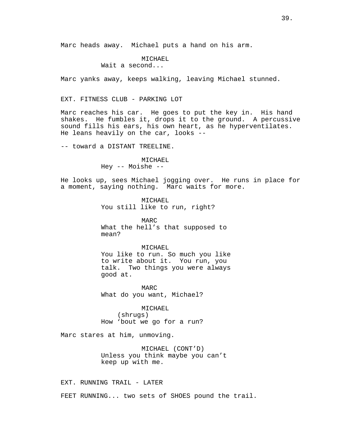Marc heads away. Michael puts a hand on his arm.

# MICHAEL

Wait a second...

Marc yanks away, keeps walking, leaving Michael stunned.

# EXT. FITNESS CLUB - PARKING LOT

Marc reaches his car. He goes to put the key in. His hand shakes. He fumbles it, drops it to the ground. A percussive sound fills his ears, his own heart, as he hyperventilates. He leans heavily on the car, looks --

-- toward a DISTANT TREELINE.

MICHAEL Hey -- Moishe --

He looks up, sees Michael jogging over. He runs in place for a moment, saying nothing. Marc waits for more.

> MICHAEL You still like to run, right?

MARC What the hell's that supposed to mean?

#### MICHAEL

You like to run. So much you like to write about it. You run, you talk. Two things you were always good at.

MARC What do you want, Michael?

MICHAEL (shrugs) How 'bout we go for a run?

Marc stares at him, unmoving.

MICHAEL (CONT'D) Unless you think maybe you can't keep up with me.

EXT. RUNNING TRAIL - LATER

FEET RUNNING... two sets of SHOES pound the trail.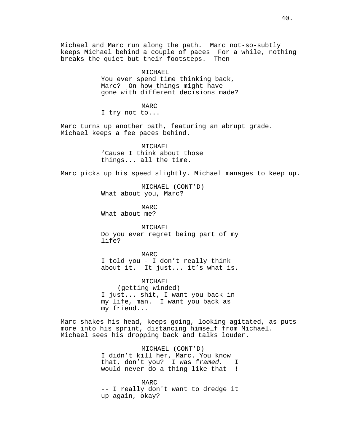Michael and Marc run along the path. Marc not-so-subtly keeps Michael behind a couple of paces For a while, nothing breaks the quiet but their footsteps. Then --

> MICHAEL You ever spend time thinking back, Marc? On how things might have gone with different decisions made?

> > MARC

I try not to...

Marc turns up another path, featuring an abrupt grade. Michael keeps a fee paces behind.

> MICHAEL 'Cause I think about those things... all the time.

Marc picks up his speed slightly. Michael manages to keep up.

MICHAEL (CONT'D) What about you, Marc?

MARC What about me?

MICHAEL. Do you ever regret being part of my life?

MARC I told you - I don't really think about it. It just... it's what is.

MICHAEL (getting winded) I just... shit, I want you back in my life, man. I want you back as my friend...

Marc shakes his head, keeps going, looking agitated, as puts more into his sprint, distancing himself from Michael. Michael sees his dropping back and talks louder.

> MICHAEL (CONT'D) I didn't kill her, Marc. You know that, don't you? I was framed. I would never do a thing like that--!

> MARC -- I really don't want to dredge it up again, okay?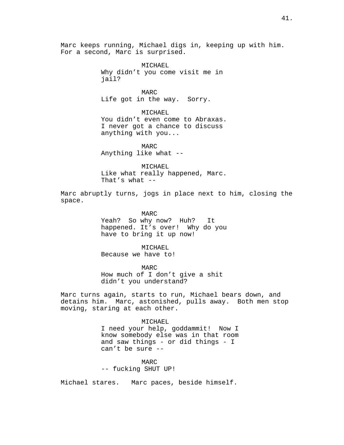Marc keeps running, Michael digs in, keeping up with him. For a second, Marc is surprised.

> MICHAEL Why didn't you come visit me in jail?

MARC Life got in the way. Sorry.

MICHAEL You didn't even come to Abraxas. I never got a chance to discuss anything with you...

MARC Anything like what --

MICHAEL Like what really happened, Marc. That's what  $--$ 

Marc abruptly turns, jogs in place next to him, closing the space.

> MARC Yeah? So why now? Huh? It happened. It's over! Why do you have to bring it up now!

MICHAEL Because we have to!

MARC

How much of I don't give a shit didn't you understand?

Marc turns again, starts to run, Michael bears down, and detains him. Marc, astonished, pulls away. Both men stop moving, staring at each other.

### MICHAEL

I need your help, goddammit! Now I know somebody else was in that room and saw things - or did things - I can't be sure --

MARC -- fucking SHUT UP!

Michael stares. Marc paces, beside himself.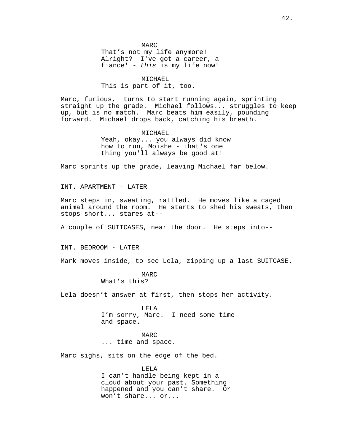MARC That's not my life anymore! Alright? I've got a career, a fiance' - this is my life now!

#### MICHAEL.

This is part of it, too.

Marc, furious, turns to start running again, sprinting straight up the grade. Michael follows... struggles to keep up, but is no match. Marc beats him easily, pounding forward. Michael drops back, catching his breath.

> MICHAEL Yeah, okay... you always did know how to run, Moishe - that's one thing you'll always be good at!

Marc sprints up the grade, leaving Michael far below.

INT. APARTMENT - LATER

Marc steps in, sweating, rattled. He moves like a caged animal around the room. He starts to shed his sweats, then stops short... stares at--

A couple of SUITCASES, near the door. He steps into--

INT. BEDROOM - LATER

Mark moves inside, to see Lela, zipping up a last SUITCASE.

MARC

What's this?

Lela doesn't answer at first, then stops her activity.

LELA I'm sorry, Marc. I need some time and space.

MARC ... time and space.

Marc sighs, sits on the edge of the bed.

LELA I can't handle being kept in a cloud about your past. Something happened and you can't share. Or won't share... or...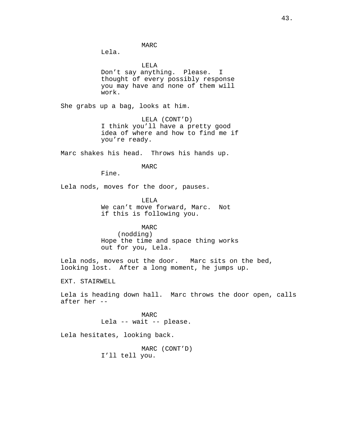MARC

Lela.

LELA Don't say anything. Please. I thought of every possibly response you may have and none of them will work.

She grabs up a bag, looks at him.

LELA (CONT'D) I think you'll have a pretty good idea of where and how to find me if you're ready.

Marc shakes his head. Throws his hands up.

MARC

Fine.

Lela nods, moves for the door, pauses.

LELA We can't move forward, Marc. Not if this is following you.

MARC

(nodding) Hope the time and space thing works out for you, Lela.

Lela nods, moves out the door. Marc sits on the bed, looking lost. After a long moment, he jumps up.

EXT. STAIRWELL

Lela is heading down hall. Marc throws the door open, calls after her --

> MARC Lela -- wait -- please.

Lela hesitates, looking back.

MARC (CONT'D) I'll tell you.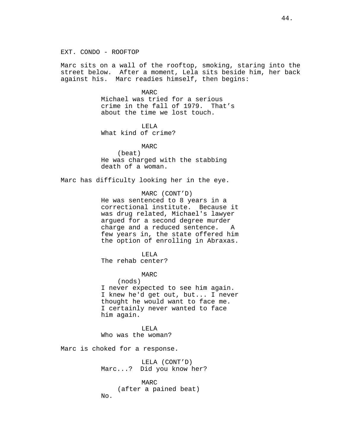EXT. CONDO - ROOFTOP

Marc sits on a wall of the rooftop, smoking, staring into the street below. After a moment, Lela sits beside him, her back against his. Marc readies himself, then begins:

MARC

Michael was tried for a serious crime in the fall of 1979. That's about the time we lost touch.

LELA What kind of crime?

> MARC (beat)

He was charged with the stabbing death of a woman.

Marc has difficulty looking her in the eye.

MARC (CONT'D)

He was sentenced to 8 years in a correctional institute. Because it was drug related, Michael's lawyer argued for a second degree murder charge and a reduced sentence. A few years in, the state offered him the option of enrolling in Abraxas.

LELA

The rehab center?

MARC

(nods)

I never expected to see him again. I knew he'd get out, but... I never thought he would want to face me. I certainly never wanted to face him again.

LELA Who was the woman?

Marc is choked for a response.

LELA (CONT'D) Marc...? Did you know her?

MARC (after a pained beat) No.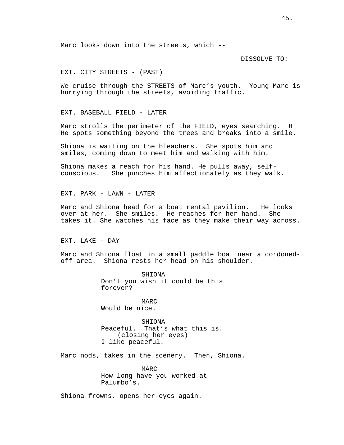Marc looks down into the streets, which --

DISSOLVE TO:

EXT. CITY STREETS - (PAST)

We cruise through the STREETS of Marc's youth. Young Marc is hurrying through the streets, avoiding traffic.

EXT. BASEBALL FIELD - LATER

Marc strolls the perimeter of the FIELD, eyes searching. H He spots something beyond the trees and breaks into a smile.

Shiona is waiting on the bleachers. She spots him and smiles, coming down to meet him and walking with him.

Shiona makes a reach for his hand. He pulls away, selfconscious. She punches him affectionately as they walk.

EXT. PARK - LAWN - LATER

Marc and Shiona head for a boat rental pavilion. He looks over at her. She smiles. He reaches for her hand. She takes it. She watches his face as they make their way across.

EXT. LAKE - DAY

Marc and Shiona float in a small paddle boat near a cordonedoff area. Shiona rests her head on his shoulder.

> SHIONA Don't you wish it could be this forever?

MARC Would be nice.

SHIONA Peaceful. That's what this is. (closing her eyes) I like peaceful.

Marc nods, takes in the scenery. Then, Shiona.

MARC How long have you worked at Palumbo's.

Shiona frowns, opens her eyes again.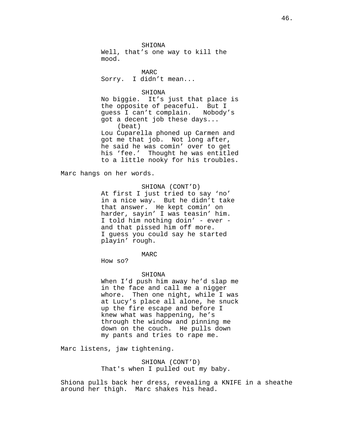SHIONA Well, that's one way to kill the mood.

MARC Sorry. I didn't mean...

#### SHIONA

No biggie. It's just that place is the opposite of peaceful. But I guess I can't complain. Nobody's got a decent job these days... (beat) Lou Cuparella phoned up Carmen and got me that job. Not long after, he said he was comin' over to get his 'fee.' Thought he was entitled to a little nooky for his troubles.

Marc hangs on her words.

# SHIONA (CONT'D)

At first I just tried to say 'no' in a nice way. But he didn't take that answer. He kept comin' on harder, sayin' I was teasin' him. I told him nothing doin' - ever and that pissed him off more. I guess you could say he started playin' rough.

# MARC

How so?

#### SHIONA

When I'd push him away he'd slap me in the face and call me a nigger whore. Then one night, while I was at Lucy's place all alone, he snuck up the fire escape and before I knew what was happening, he's through the window and pinning me down on the couch. He pulls down my pants and tries to rape me.

Marc listens, jaw tightening.

SHIONA (CONT'D) That's when I pulled out my baby.

Shiona pulls back her dress, revealing a KNIFE in a sheathe around her thigh. Marc shakes his head.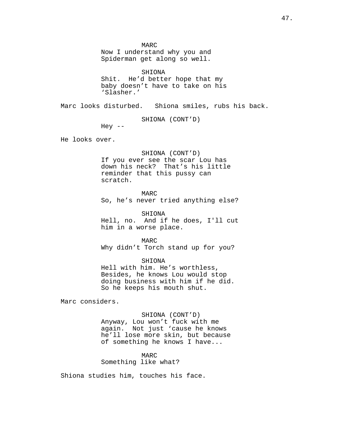MARC

Now I understand why you and Spiderman get along so well.

SHIONA Shit. He'd better hope that my baby doesn't have to take on his 'Slasher.'

Marc looks disturbed. Shiona smiles, rubs his back.

SHIONA (CONT'D)

Hey  $--$ 

He looks over.

# SHIONA (CONT'D)

If you ever see the scar Lou has down his neck? That's his little reminder that this pussy can scratch.

MARC

So, he's never tried anything else?

SHIONA

Hell, no. And if he does, I'll cut him in a worse place.

MARC Why didn't Torch stand up for you?

#### SHIONA

Hell with him. He's worthless, Besides, he knows Lou would stop doing business with him if he did. So he keeps his mouth shut.

Marc considers.

# SHIONA (CONT'D)

Anyway, Lou won't fuck with me again. Not just 'cause he knows he'll lose more skin, but because of something he knows I have...

# MARC

# Something like what?

Shiona studies him, touches his face.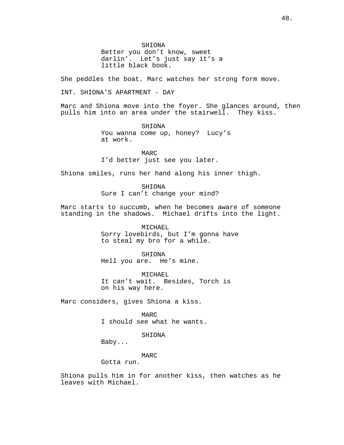SHIONA Better you don't know, sweet darlin'. Let's just say it's a little black book.

She peddles the boat. Marc watches her strong form move.

INT. SHIONA'S APARTMENT - DAY

Marc and Shiona move into the foyer. She glances around, then pulls him into an area under the stairwell. They kiss.

> SHIONA You wanna come up, honey? Lucy's at work.

MARC I'd better just see you later.

Shiona smiles, runs her hand along his inner thigh.

SHIONA Sure I can't change your mind?

Marc starts to succumb, when he becomes aware of someone standing in the shadows. Michael drifts into the light.

> MICHAEL Sorry lovebirds, but I'm gonna have to steal my bro for a while.

SHIONA Hell you are. He's mine.

MICHAEL It can't wait. Besides, Torch is on his way here.

Marc considers, gives Shiona a kiss.

MARC I should see what he wants.

# SHIONA

Baby...

# MARC

Gotta run.

Shiona pulls him in for another kiss, then watches as he leaves with Michael.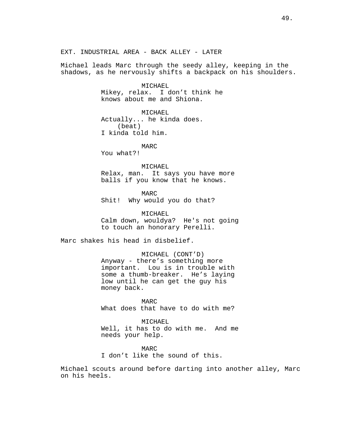EXT. INDUSTRIAL AREA - BACK ALLEY - LATER

Michael leads Marc through the seedy alley, keeping in the shadows, as he nervously shifts a backpack on his shoulders.

> MICHAEL Mikey, relax. I don't think he knows about me and Shiona.

MICHAEL Actually... he kinda does. (beat) I kinda told him.

MARC

You what?!

MICHAEL

Relax, man. It says you have more balls if you know that he knows.

MARC

Shit! Why would you do that?

MICHAEL Calm down, wouldya? He's not going to touch an honorary Perelli.

Marc shakes his head in disbelief.

MICHAEL (CONT'D) Anyway - there's something more important. Lou is in trouble with some a thumb-breaker. He's laying low until he can get the guy his money back.

MARC What does that have to do with me?

MICHAEL Well, it has to do with me. And me needs your help.

MARC I don't like the sound of this.

Michael scouts around before darting into another alley, Marc on his heels.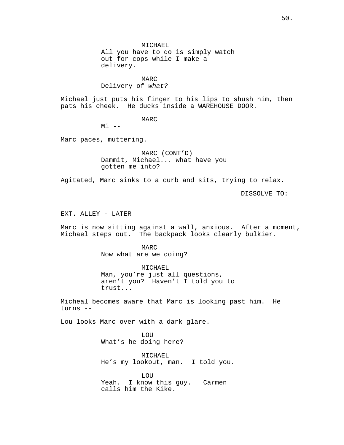50.

MICHAEL All you have to do is simply watch out for cops while I make a

delivery.

# MARC

Delivery of what?

Michael just puts his finger to his lips to shush him, then pats his cheek. He ducks inside a WAREHOUSE DOOR.

MARC

 $M_i$   $-$ 

Marc paces, muttering.

MARC (CONT'D) Dammit, Michael... what have you gotten me into?

Agitated, Marc sinks to a curb and sits, trying to relax.

DISSOLVE TO:

EXT. ALLEY - LATER

Marc is now sitting against a wall, anxious. After a moment, Michael steps out. The backpack looks clearly bulkier.

> MARC Now what are we doing?

MICHAEL Man, you're just all questions, aren't you? Haven't I told you to trust...

Micheal becomes aware that Marc is looking past him. He turns --

Lou looks Marc over with a dark glare.

**LOU** What's he doing here?

MICHAEL He's my lookout, man. I told you.

LOU Yeah. I know this guy. Carmen calls him the Kike.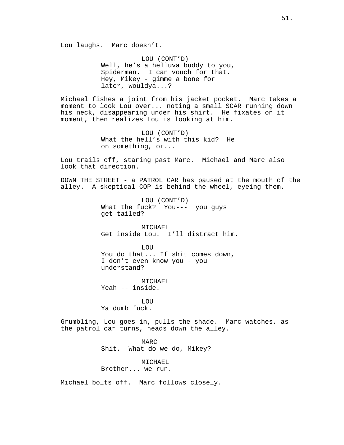LOU (CONT'D) Well, he's a helluva buddy to you, Spiderman. I can vouch for that. Hey, Mikey - gimme a bone for later, wouldya...?

Michael fishes a joint from his jacket pocket. Marc takes a moment to look Lou over... noting a small SCAR running down his neck, disappearing under his shirt. He fixates on it moment, then realizes Lou is looking at him.

> LOU (CONT'D) What the hell's with this kid? He on something, or...

Lou trails off, staring past Marc. Michael and Marc also look that direction.

DOWN THE STREET - a PATROL CAR has paused at the mouth of the alley. A skeptical COP is behind the wheel, eyeing them.

> LOU (CONT'D) What the fuck? You--- you guys get tailed?

MICHAEL. Get inside Lou. I'll distract him.

LOU You do that... If shit comes down, I don't even know you - you understand?

MICHAEL. Yeah -- inside.

**LOU** Ya dumb fuck.

Grumbling, Lou goes in, pulls the shade. Marc watches, as the patrol car turns, heads down the alley.

> MARC Shit. What do we do, Mikey?

MICHAEL Brother... we run.

Michael bolts off. Marc follows closely.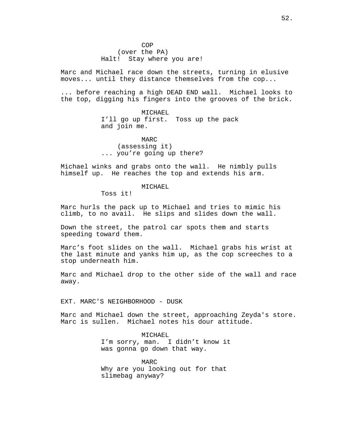Marc and Michael race down the streets, turning in elusive moves... until they distance themselves from the cop...

... before reaching a high DEAD END wall. Michael looks to the top, digging his fingers into the grooves of the brick.

> MICHAEL I'll go up first. Toss up the pack and join me.

MARC (assessing it) ... you're going up there?

Michael winks and grabs onto the wall. He nimbly pulls himself up. He reaches the top and extends his arm.

# MICHAEL

Toss it!

Marc hurls the pack up to Michael and tries to mimic his climb, to no avail. He slips and slides down the wall.

Down the street, the patrol car spots them and starts speeding toward them.

Marc's foot slides on the wall. Michael grabs his wrist at the last minute and yanks him up, as the cop screeches to a stop underneath him.

Marc and Michael drop to the other side of the wall and race away.

EXT. MARC'S NEIGHBORHOOD - DUSK

Marc and Michael down the street, approaching Zeyda's store. Marc is sullen. Michael notes his dour attitude.

> MICHAEL I'm sorry, man. I didn't know it was gonna go down that way.

MARC Why are you looking out for that slimebag anyway?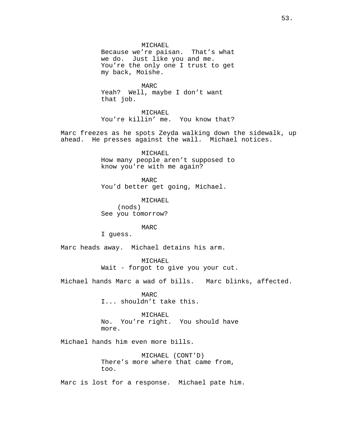MICHAEL Because we're paisan. That's what we do. Just like you and me. You're the only one I trust to get my back, Moishe.

MARC Yeah? Well, maybe I don't want that job.

MICHAEL You're killin' me. You know that?

Marc freezes as he spots Zeyda walking down the sidewalk, up ahead. He presses against the wall. Michael notices.

> MICHAEL How many people aren't supposed to know you're with me again?

MARC You'd better get going, Michael.

MICHAEL (nods) See you tomorrow?

# MARC

I guess.

Marc heads away. Michael detains his arm.

MICHAEL Wait - forgot to give you your cut.

Michael hands Marc a wad of bills. Marc blinks, affected.

MARC I... shouldn't take this.

MICHAEL No. You're right. You should have more.

Michael hands him even more bills.

MICHAEL (CONT'D) There's more where that came from, too.

Marc is lost for a response. Michael pate him.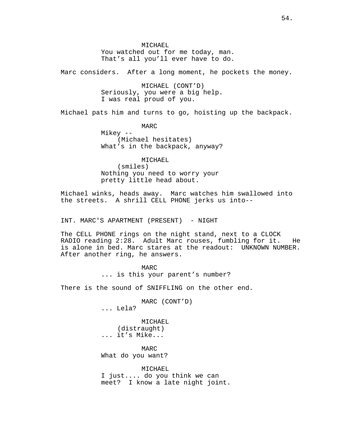MICHAEL You watched out for me today, man. That's all you'll ever have to do.

Marc considers. After a long moment, he pockets the money.

MICHAEL (CONT'D) Seriously, you were a big help. I was real proud of you.

Michael pats him and turns to go, hoisting up the backpack.

MARC Mikey -- (Michael hesitates) What's in the backpack, anyway?

MICHAEL (smiles) Nothing you need to worry your pretty little head about.

Michael winks, heads away. Marc watches him swallowed into the streets. A shrill CELL PHONE jerks us into--

INT. MARC'S APARTMENT (PRESENT) - NIGHT

The CELL PHONE rings on the night stand, next to a CLOCK RADIO reading 2:28. Adult Marc rouses, fumbling for it. He is alone in bed. Marc stares at the readout: UNKNOWN NUMBER. After another ring, he answers.

> MARC ... is this your parent's number?

There is the sound of SNIFFLING on the other end.

MARC (CONT'D) ... Lela?

MICHAEL (distraught) ... it's Mike...

MARC What do you want?

MICHAEL I just.... do you think we can meet? I know a late night joint.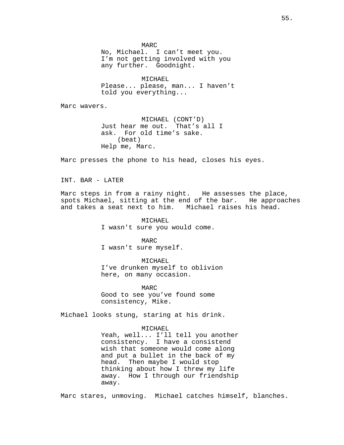MARC

No, Michael. I can't meet you. I'm not getting involved with you any further. Goodnight.

MICHAEL Please... please, man... I haven't told you everything...

Marc wavers.

MICHAEL (CONT'D) Just hear me out. That's all I ask. For old time's sake. (beat) Help me, Marc.

Marc presses the phone to his head, closes his eyes.

INT. BAR - LATER

Marc steps in from a rainy night. He assesses the place, spots Michael, sitting at the end of the bar. He approaches<br>and takes a seat next to him. Michael raises his head. and takes a seat next to him.

> MICHAEL I wasn't sure you would come.

MARC I wasn't sure myself.

MICHAEL I've drunken myself to oblivion here, on many occasion.

MARC Good to see you've found some consistency, Mike.

Michael looks stung, staring at his drink.

## MICHAEL

Yeah, well... I'll tell you another consistency. I have a consistend wish that someone would come along and put a bullet in the back of my head. Then maybe I would stop thinking about how I threw my life away. How I through our friendship away.

Marc stares, unmoving. Michael catches himself, blanches.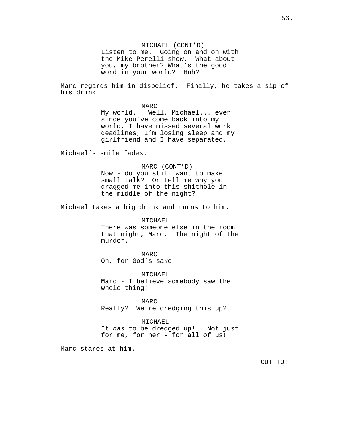MICHAEL (CONT'D) Listen to me. Going on and on with the Mike Perelli show. What about you, my brother? What's the good word in your world? Huh?

Marc regards him in disbelief. Finally, he takes a sip of his drink.

> MARC My world. Well, Michael... ever since you've come back into my world, I have missed several work deadlines, I'm losing sleep and my girlfriend and I have separated.

Michael's smile fades.

# MARC (CONT'D)

Now - do you still want to make small talk? Or tell me why you dragged me into this shithole in the middle of the night?

Michael takes a big drink and turns to him.

MICHAEL There was someone else in the room that night, Marc. The night of the murder.

MARC Oh, for God's sake --

MICHAEL Marc - I believe somebody saw the whole thing!

MARC Really? We're dredging this up?

# MICHAEL

It has to be dredged up! Not just for me, for her - for all of us!

Marc stares at him.

CUT TO: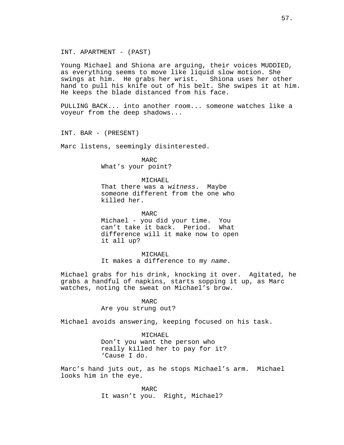INT. APARTMENT - (PAST)

Young Michael and Shiona are arguing, their voices MUDDIED, as everything seems to move like liquid slow motion. She swings at him. He grabs her wrist. Shiona uses her other hand to pull his knife out of his belt. She swipes it at him. He keeps the blade distanced from his face.

PULLING BACK... into another room... someone watches like a voyeur from the deep shadows...

INT. BAR - (PRESENT)

Marc listens, seemingly disinterested.

MARC What's your point?

# MICHAEL

That there was a witness. Maybe someone different from the one who killed her.

MARC Michael - you did your time. You can't take it back. Period. What difference will it make now to open it all up?

MICHAEL It makes a difference to my name.

Michael grabs for his drink, knocking it over. Agitated, he grabs a handful of napkins, starts sopping it up, as Marc watches, noting the sweat on Michael's brow.

# MARC

Are you strung out?

Michael avoids answering, keeping focused on his task.

### MICHAEL

Don't you want the person who really killed her to pay for it? 'Cause I do.

Marc's hand juts out, as he stops Michael's arm. Michael looks him in the eye.

> MARC It wasn't you. Right, Michael?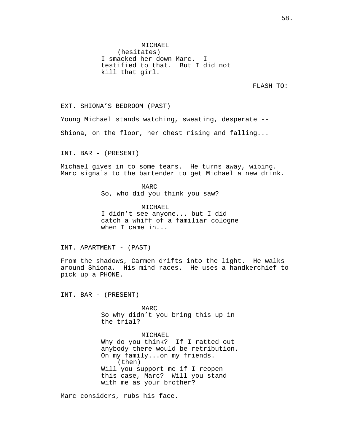MICHAEL (hesitates) I smacked her down Marc. I testified to that. But I did not kill that girl.

FLASH TO:

EXT. SHIONA'S BEDROOM (PAST)

Young Michael stands watching, sweating, desperate --

Shiona, on the floor, her chest rising and falling...

INT. BAR - (PRESENT)

Michael gives in to some tears. He turns away, wiping. Marc signals to the bartender to get Michael a new drink.

> MARC So, who did you think you saw?

MICHAEL I didn't see anyone... but I did catch a whiff of a familiar cologne when I came in...

INT. APARTMENT - (PAST)

From the shadows, Carmen drifts into the light. He walks around Shiona. His mind races. He uses a handkerchief to pick up a PHONE.

INT. BAR - (PRESENT)

MARC So why didn't you bring this up in the trial?

MICHAEL Why do you think? If I ratted out anybody there would be retribution. On my family...on my friends. (then) Will you support me if I reopen this case, Marc? Will you stand with me as your brother?

Marc considers, rubs his face.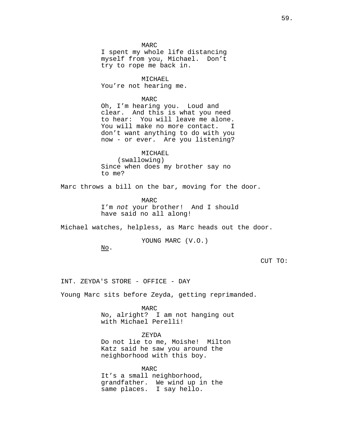MARC I spent my whole life distancing<br>myself from you, Michael. Don't myself from you, Michael. try to rope me back in.

MICHAEL You're not hearing me.

MARC

Oh, I'm hearing you. Loud and clear. And this is what you need to hear: You will leave me alone. You will make no more contact. I don't want anything to do with you now - or ever. Are you listening?

MICHAEL (swallowing) Since when does my brother say no to me?

Marc throws a bill on the bar, moving for the door.

MARC I'm not your brother! And I should have said no all along!

Michael watches, helpless, as Marc heads out the door.

YOUNG MARC (V.O.)

No.

CUT TO:

INT. ZEYDA'S STORE - OFFICE - DAY

Young Marc sits before Zeyda, getting reprimanded.

MARC No, alright? I am not hanging out with Michael Perelli!

ZEYDA

Do not lie to me, Moishe! Milton Katz said he saw you around the neighborhood with this boy.

MARC It's a small neighborhood, grandfather. We wind up in the same places. I say hello.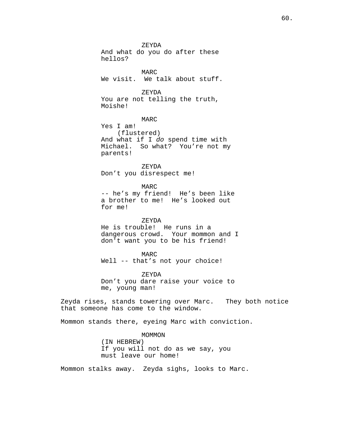ZEYDA And what do you do after these hellos?

MARC We visit. We talk about stuff.

ZEYDA You are not telling the truth, Moishe!

MARC Yes I am! (flustered) And what if I do spend time with Michael. So what? You're not my parents!

ZEYDA Don't you disrespect me!

MARC -- he's my friend! He's been like a brother to me! He's looked out for me!

ZEYDA He is trouble! He runs in a dangerous crowd. Your mommon and I don't want you to be his friend!

MARC Well -- that's not your choice!

ZEYDA Don't you dare raise your voice to me, young man!

Zeyda rises, stands towering over Marc. They both notice that someone has come to the window.

Mommon stands there, eyeing Marc with conviction.

MOMMON (IN HEBREW) If you will not do as we say, you must leave our home!

Mommon stalks away. Zeyda sighs, looks to Marc.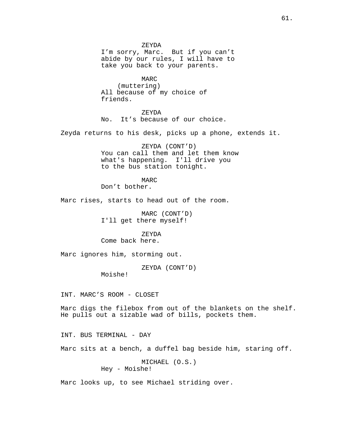ZEYDA I'm sorry, Marc. But if you can't abide by our rules, I will have to take you back to your parents.

MARC (muttering) All because of my choice of friends.

ZEYDA No. It's because of our choice.

Zeyda returns to his desk, picks up a phone, extends it.

ZEYDA (CONT'D) You can call them and let them know what's happening. I'll drive you to the bus station tonight.

MARC

Don't bother.

Marc rises, starts to head out of the room.

MARC (CONT'D) I'll get there myself!

ZEYDA

Come back here.

Marc ignores him, storming out.

ZEYDA (CONT'D)

Moishe!

INT. MARC'S ROOM - CLOSET

Marc digs the filebox from out of the blankets on the shelf. He pulls out a sizable wad of bills, pockets them.

INT. BUS TERMINAL - DAY

Marc sits at a bench, a duffel bag beside him, staring off.

```
MICHAEL (O.S.)
Hey - Moishe!
```
Marc looks up, to see Michael striding over.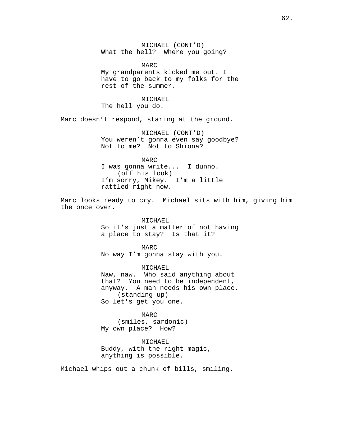MICHAEL (CONT'D) What the hell? Where you going?

MARC My grandparents kicked me out. I have to go back to my folks for the rest of the summer.

MICHAEL The hell you do.

Marc doesn't respond, staring at the ground.

MICHAEL (CONT'D) You weren't gonna even say goodbye? Not to me? Not to Shiona?

MARC I was gonna write... I dunno. (off his look) I'm sorry, Mikey. I'm a little rattled right now.

Marc looks ready to cry. Michael sits with him, giving him the once over.

> MICHAEL So it's just a matter of not having a place to stay? Is that it?

MARC No way I'm gonna stay with you.

MICHAEL Naw, naw. Who said anything about that? You need to be independent, anyway. A man needs his own place. (standing up) So let's get you one.

MARC (smiles, sardonic) My own place? How?

MICHAEL Buddy, with the right magic, anything is possible.

Michael whips out a chunk of bills, smiling.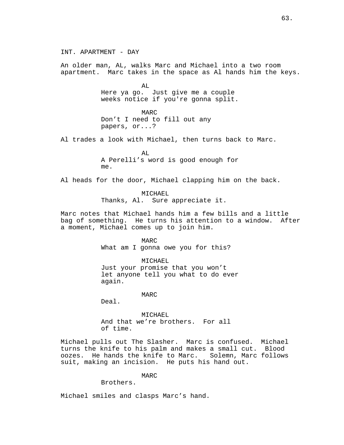INT. APARTMENT - DAY An older man, AL, walks Marc and Michael into a two room apartment. Marc takes in the space as Al hands him the keys. AL Here ya go. Just give me a couple weeks notice if you're gonna split. MARC Don't I need to fill out any papers, or...? Al trades a look with Michael, then turns back to Marc.  $\Delta T$ . A Perelli's word is good enough for me. Al heads for the door, Michael clapping him on the back. MICHAEL Thanks, Al. Sure appreciate it. Marc notes that Michael hands him a few bills and a little bag of something. He turns his attention to a window. After a moment, Michael comes up to join him. MARC What am I gonna owe you for this? MICHAEL Just your promise that you won't let anyone tell you what to do ever again. MARC Deal. MICHAEL And that we're brothers. For all of time. Michael pulls out The Slasher. Marc is confused. Michael turns the knife to his palm and makes a small cut. Blood

MARC

suit, making an incision. He puts his hand out.

oozes. He hands the knife to Marc. Solemn, Marc follows

Brothers.

Michael smiles and clasps Marc's hand.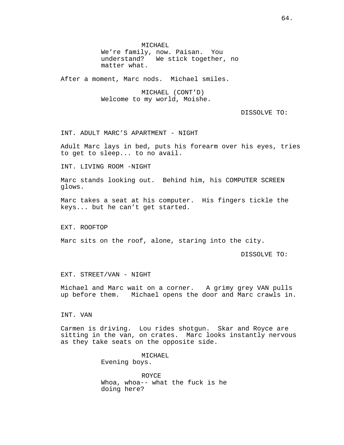MICHAEL We're family, now. Paisan. You understand? We stick together, no matter what.

After a moment, Marc nods. Michael smiles.

MICHAEL (CONT'D) Welcome to my world, Moishe.

DISSOLVE TO:

INT. ADULT MARC'S APARTMENT - NIGHT

Adult Marc lays in bed, puts his forearm over his eyes, tries to get to sleep... to no avail.

INT. LIVING ROOM -NIGHT

Marc stands looking out. Behind him, his COMPUTER SCREEN glows.

Marc takes a seat at his computer. His fingers tickle the keys... but he can't get started.

EXT. ROOFTOP

Marc sits on the roof, alone, staring into the city.

DISSOLVE TO:

EXT. STREET/VAN - NIGHT

Michael and Marc wait on a corner. A grimy grey VAN pulls up before them. Michael opens the door and Marc crawls in.

# INT. VAN

Carmen is driving. Lou rides shotgun. Skar and Royce are sitting in the van, on crates. Marc looks instantly nervous as they take seats on the opposite side.

> MICHAEL Evening boys.

ROYCE Whoa, whoa-- what the fuck is he doing here?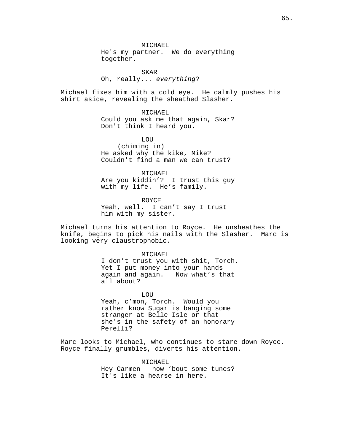MICHAEL He's my partner. We do everything together.

SKAR Oh, really... everything?

Michael fixes him with a cold eye. He calmly pushes his shirt aside, revealing the sheathed Slasher.

> MICHAEL Could you ask me that again, Skar? Don't think I heard you.

**LOU** (chiming in) He asked why the kike, Mike? Couldn't find a man we can trust?

MICHAEL Are you kiddin'? I trust this guy with my life. He's family.

ROYCE Yeah, well. I can't say I trust him with my sister.

Michael turns his attention to Royce. He unsheathes the knife, begins to pick his nails with the Slasher. Marc is looking very claustrophobic.

> MICHAEL I don't trust you with shit, Torch. Yet I put money into your hands again and again. Now what's that all about?

LOU Yeah, c'mon, Torch. Would you rather know Sugar is banging some stranger at Belle Isle or that she's in the safety of an honorary Perelli?

Marc looks to Michael, who continues to stare down Royce. Royce finally grumbles, diverts his attention.

> MICHAEL Hey Carmen - how 'bout some tunes? It's like a hearse in here.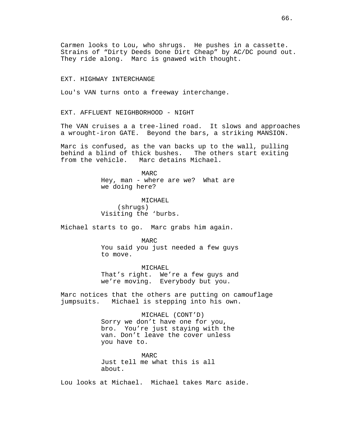Carmen looks to Lou, who shrugs. He pushes in a cassette. Strains of "Dirty Deeds Done Dirt Cheap" by AC/DC pound out. They ride along. Marc is gnawed with thought.

### EXT. HIGHWAY INTERCHANGE

Lou's VAN turns onto a freeway interchange.

EXT. AFFLUENT NEIGHBORHOOD - NIGHT

The VAN cruises a a tree-lined road. It slows and approaches a wrought-iron GATE. Beyond the bars, a striking MANSION.

Marc is confused, as the van backs up to the wall, pulling<br>behind a blind of thick bushes. The others start exiting behind a blind of thick bushes. from the vehicle. Marc detains Michael.

> MARC Hey, man - where are we? What are we doing here?

MICHAEL (shrugs) Visiting the 'burbs.

Michael starts to go. Marc grabs him again.

MARC You said you just needed a few guys to move.

MICHAEL That's right. We're a few guys and we're moving. Everybody but you.

Marc notices that the others are putting on camouflage jumpsuits. Michael is stepping into his own.

> MICHAEL (CONT'D) Sorry we don't have one for you, bro. You're just staying with the van. Don't leave the cover unless you have to.

MARC Just tell me what this is all about.

Lou looks at Michael. Michael takes Marc aside.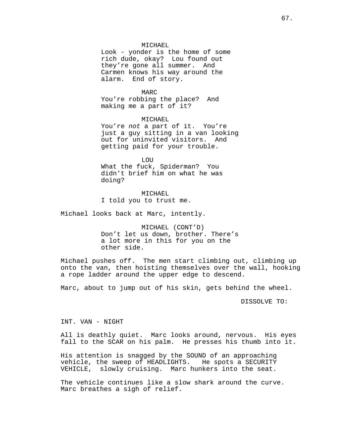### MICHAEL

Look - yonder is the home of some rich dude, okay? Lou found out they're gone all summer. And Carmen knows his way around the alarm. End of story.

MARC You're robbing the place? And making me a part of it?

MICHAEL You're not a part of it. You're just a guy sitting in a van looking out for uninvited visitors. And getting paid for your trouble.

LOU What the fuck, Spiderman? You didn't brief him on what he was doing?

MICHAEL I told you to trust me.

Michael looks back at Marc, intently.

MICHAEL (CONT'D) Don't let us down, brother. There's a lot more in this for you on the other side.

Michael pushes off. The men start climbing out, climbing up onto the van, then hoisting themselves over the wall, hooking a rope ladder around the upper edge to descend.

Marc, about to jump out of his skin, gets behind the wheel.

DISSOLVE TO:

INT. VAN - NIGHT

All is deathly quiet. Marc looks around, nervous. His eyes fall to the SCAR on his palm. He presses his thumb into it.

His attention is snagged by the SOUND of an approaching vehicle, the sweep of HEADLIGHTS. He spots a SECURITY vehicle, the sweep of HEADLIGHTS. VEHICLE, slowly cruising. Marc hunkers into the seat.

The vehicle continues like a slow shark around the curve. Marc breathes a sigh of relief.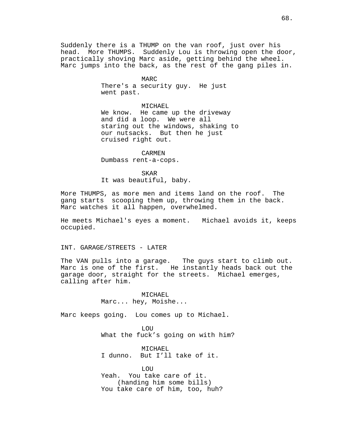Suddenly there is a THUMP on the van roof, just over his head. More THUMPS. Suddenly Lou is throwing open the door, practically shoving Marc aside, getting behind the wheel. Marc jumps into the back, as the rest of the gang piles in.

> MARC There's a security guy. He just went past.

MICHAEL We know. He came up the driveway and did a loop. We were all staring out the windows, shaking to our nutsacks. But then he just cruised right out.

#### CARMEN

Dumbass rent-a-cops.

SKAR

It was beautiful, baby.

More THUMPS, as more men and items land on the roof. The gang starts scooping them up, throwing them in the back. Marc watches it all happen, overwhelmed.

He meets Michael's eyes a moment. Michael avoids it, keeps occupied.

INT. GARAGE/STREETS - LATER

The VAN pulls into a garage. The guys start to climb out. Marc is one of the first. He instantly heads back out the garage door, straight for the streets. Michael emerges, calling after him.

> MICHAEL Marc... hey, Moishe...

Marc keeps going. Lou comes up to Michael.

LOU What the fuck's going on with him?

MICHAEL I dunno. But I'll take of it.

LOU Yeah. You take care of it. (handing him some bills) You take care of him, too, huh?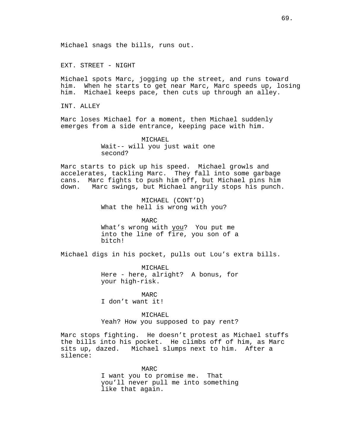EXT. STREET - NIGHT

Michael spots Marc, jogging up the street, and runs toward him. When he starts to get near Marc, Marc speeds up, losing him. Michael keeps pace, then cuts up through an alley.

INT. ALLEY

Marc loses Michael for a moment, then Michael suddenly emerges from a side entrance, keeping pace with him.

> MICHAEL Wait-- will you just wait one second?

Marc starts to pick up his speed. Michael growls and accelerates, tackling Marc. They fall into some garbage cans. Marc fights to push him off, but Michael pins him down. Marc swings, but Michael angrily stops his punch.

> MICHAEL (CONT'D) What the hell is wrong with you?

MARC What's wrong with you? You put me into the line of fire, you son of a bitch!

Michael digs in his pocket, pulls out Lou's extra bills.

MICHAEL Here - here, alright? A bonus, for your high-risk.

MARC I don't want it!

MICHAEL Yeah? How you supposed to pay rent?

Marc stops fighting. He doesn't protest as Michael stuffs the bills into his pocket. He climbs off of him, as Marc sits up, dazed. Michael slumps next to him. After a silence:

> MARC I want you to promise me. That you'll never pull me into something like that again.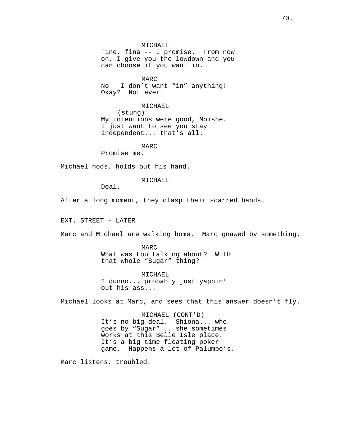MICHAEL Fine, fina -- I promise. From now on, I give you the lowdown and you can choose if you want in.

MARC No - I don't want "in" anything! Okay? Not ever!

MICHAEL

(stung) My intentions were good, Moishe. I just want to see you stay independent... that's all.

MARC

Promise me.

Michael nods, holds out his hand.

MICHAEL

Deal.

After a long moment, they clasp their scarred hands.

EXT. STREET - LATER

Marc and Michael are walking home. Marc gnawed by something.

MARC What was Lou talking about? With that whole "Sugar" thing?

MICHAEL I dunno... probably just yappin' out his ass...

Michael looks at Marc, and sees that this answer doesn't fly.

MICHAEL (CONT'D) It's no big deal. Shiona... who goes by "Sugar"... she sometimes works at this Belle Isle place. It's a big time floating poker game. Happens a lot of Palumbo's.

Marc listens, troubled.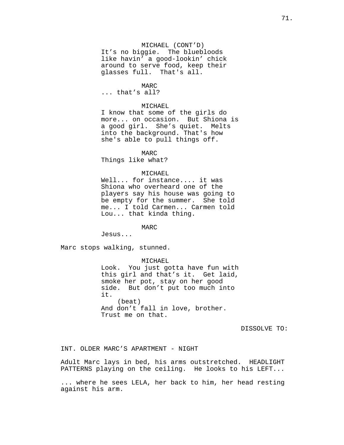# MICHAEL (CONT'D)

It's no biggie. The bluebloods like havin' a good-lookin' chick around to serve food, keep their glasses full. That's all.

### MARC

... that's all?

# MICHAEL

I know that some of the girls do more... on occasion. But Shiona is a good girl. She's quiet. Melts into the background. That's how she's able to pull things off.

### MARC

Things like what?

# MICHAEL

Well... for instance.... it was Shiona who overheard one of the players say his house was going to be empty for the summer. She told me... I told Carmen... Carmen told Lou... that kinda thing.

#### MARC

Jesus...

Marc stops walking, stunned.

MICHAEL

Look. You just gotta have fun with this girl and that's it. Get laid, smoke her pot, stay on her good side. But don't put too much into it. (beat) And don't fall in love, brother. Trust me on that.

DISSOLVE TO:

INT. OLDER MARC'S APARTMENT - NIGHT

Adult Marc lays in bed, his arms outstretched. HEADLIGHT PATTERNS playing on the ceiling. He looks to his LEFT...

... where he sees LELA, her back to him, her head resting against his arm.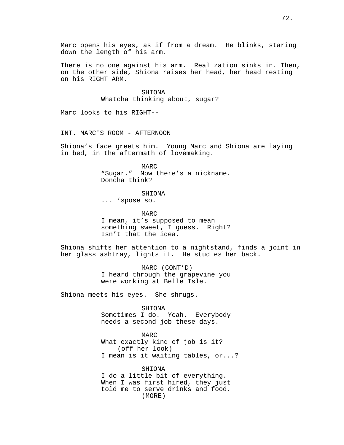Marc opens his eyes, as if from a dream. He blinks, staring down the length of his arm.

There is no one against his arm. Realization sinks in. Then, on the other side, Shiona raises her head, her head resting on his RIGHT ARM.

> SHIONA Whatcha thinking about, sugar?

Marc looks to his RIGHT--

INT. MARC'S ROOM - AFTERNOON

Shiona's face greets him. Young Marc and Shiona are laying in bed, in the aftermath of lovemaking.

> MARC "Sugar." Now there's a nickname. Doncha think?

> > SHIONA

... 'spose so.

MARC I mean, it's supposed to mean something sweet, I guess. Right? Isn't that the idea.

Shiona shifts her attention to a nightstand, finds a joint in her glass ashtray, lights it. He studies her back.

> MARC (CONT'D) I heard through the grapevine you were working at Belle Isle.

Shiona meets his eyes. She shrugs.

SHIONA

Sometimes I do. Yeah. Everybody needs a second job these days.

MARC What exactly kind of job is it? (off her look) I mean is it waiting tables, or...?

(MORE) SHIONA I do a little bit of everything. When I was first hired, they just told me to serve drinks and food.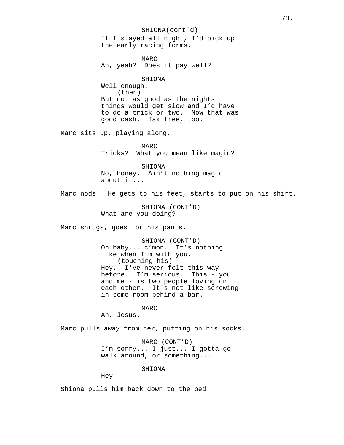SHIONA(cont'd) If I stayed all night, I'd pick up the early racing forms.

MARC Ah, yeah? Does it pay well?

#### SHIONA

Well enough. (then) But not as good as the nights things would get slow and I'd have to do a trick or two. Now that was good cash. Tax free, too.

Marc sits up, playing along.

MARC Tricks? What you mean like magic?

SHIONA No, honey. Ain't nothing magic about it...

Marc nods. He gets to his feet, starts to put on his shirt.

SHIONA (CONT'D) What are you doing?

Marc shrugs, goes for his pants.

SHIONA (CONT'D) Oh baby... c'mon. It's nothing like when I'm with you. (touching his) Hey. I've never felt this way before. I'm serious. This - you and me - is two people loving on each other. It's not like screwing in some room behind a bar.

MARC

Ah, Jesus.

Marc pulls away from her, putting on his socks.

MARC (CONT'D) I'm sorry... I just... I gotta go walk around, or something...

SHIONA

Hey  $--$ 

Shiona pulls him back down to the bed.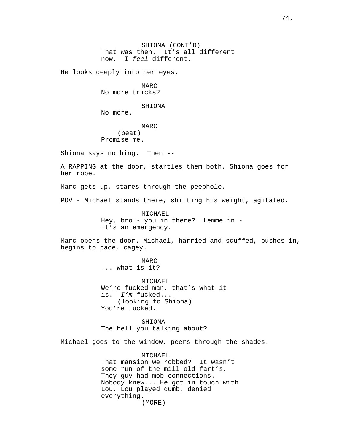SHIONA (CONT'D) That was then. It's all different now. I feel different.

He looks deeply into her eyes.

MARC No more tricks?

SHIONA

No more.

MARC (beat) Promise me.

Shiona says nothing. Then --

A RAPPING at the door, startles them both. Shiona goes for her robe.

Marc gets up, stares through the peephole.

POV - Michael stands there, shifting his weight, agitated.

MICHAEL Hey, bro - you in there? Lemme in it's an emergency.

Marc opens the door. Michael, harried and scuffed, pushes in, begins to pace, cagey.

> MARC ... what is it?

MICHAEL We're fucked man, that's what it is. I'm fucked... (looking to Shiona) You're fucked.

SHIONA The hell you talking about?

Michael goes to the window, peers through the shades.

(MORE) MICHAEL That mansion we robbed? It wasn't some run-of-the mill old fart's. They guy had mob connections. Nobody knew... He got in touch with Lou, Lou played dumb, denied everything.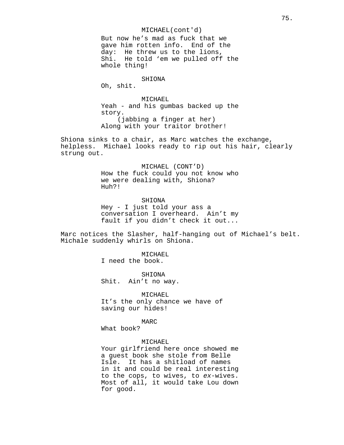MICHAEL(cont'd) But now he's mad as fuck that we gave him rotten info. End of the day: He threw us to the lions, Shi. He told 'em we pulled off the whole thing!

# SHIONA

Oh, shit.

MICHAEL Yeah - and his gumbas backed up the story. (jabbing a finger at her) Along with your traitor brother!

Shiona sinks to a chair, as Marc watches the exchange, helpless. Michael looks ready to rip out his hair, clearly strung out.

# MICHAEL (CONT'D) How the fuck could you not know who we were dealing with, Shiona? Huh?!

SHIONA Hey - I just told your ass a conversation I overheard. Ain't my fault if you didn't check it out...

Marc notices the Slasher, half-hanging out of Michael's belt. Michale suddenly whirls on Shiona.

> MICHAEL I need the book.

SHIONA Shit. Ain't no way.

MICHAEL It's the only chance we have of saving our hides!

MARC

What book?

### MICHAEL

Your girlfriend here once showed me a guest book she stole from Belle Isle. It has a shitload of names in it and could be real interesting to the cops, to wives, to ex-wives. Most of all, it would take Lou down for good.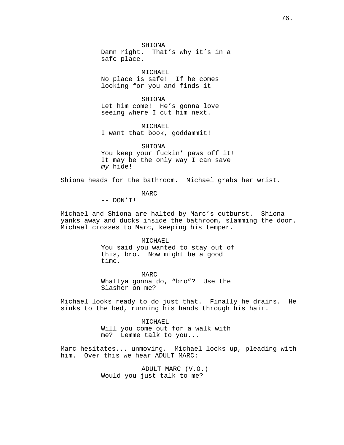SHIONA

Damn right. That's why it's in a safe place.

MICHAEL No place is safe! If he comes looking for you and finds it --

SHIONA Let him come! He's gonna love seeing where I cut him next.

MICHAEL I want that book, goddammit!

SHIONA

You keep your fuckin' paws off it! It may be the only way I can save my hide!

Shiona heads for the bathroom. Michael grabs her wrist.

MARC

-- DON'T!

Michael and Shiona are halted by Marc's outburst. Shiona yanks away and ducks inside the bathroom, slamming the door. Michael crosses to Marc, keeping his temper.

MICHAEL

You said you wanted to stay out of this, bro. Now might be a good time.

MARC Whattya gonna do, "bro"? Use the Slasher on me?

Michael looks ready to do just that. Finally he drains. He sinks to the bed, running his hands through his hair.

MICHAEL

Will you come out for a walk with me? Lemme talk to you...

Marc hesitates... unmoving. Michael looks up, pleading with him. Over this we hear ADULT MARC:

> ADULT MARC (V.O.) Would you just talk to me?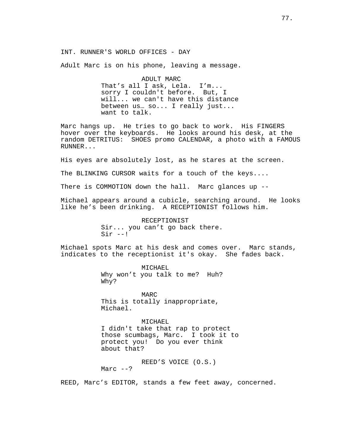INT. RUNNER'S WORLD OFFICES - DAY

Adult Marc is on his phone, leaving a message.

ADULT MARC That's all I ask, Lela. I'm... sorry I couldn't before. But, I will... we can't have this distance between us… so... I really just... want to talk.

Marc hangs up. He tries to go back to work. His FINGERS hover over the keyboards. He looks around his desk, at the random DETRITUS: SHOES promo CALENDAR, a photo with a FAMOUS RUNNER...

His eyes are absolutely lost, as he stares at the screen.

The BLINKING CURSOR waits for a touch of the keys....

There is COMMOTION down the hall. Marc glances up --

Michael appears around a cubicle, searching around. He looks like he's been drinking. A RECEPTIONIST follows him.

> RECEPTIONIST Sir... you can't go back there.  $Sir --!$

Michael spots Marc at his desk and comes over. Marc stands, indicates to the receptionist it's okay. She fades back.

> MICHAEL Why won't you talk to me? Huh? Why?

MARC This is totally inappropriate, Michael.

MICHAEL

I didn't take that rap to protect those scumbags, Marc. I took it to protect you! Do you ever think about that?

REED'S VOICE (O.S.)

Marc  $--?$ 

REED, Marc's EDITOR, stands a few feet away, concerned.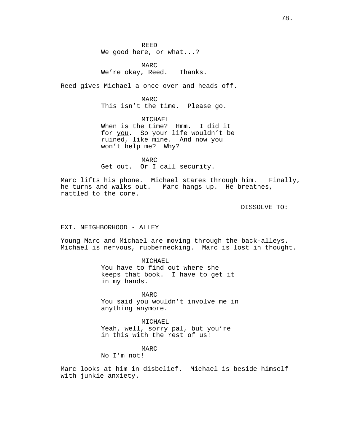REED We good here, or what...?

MARC We're okay, Reed. Thanks.

Reed gives Michael a once-over and heads off.

MARC This isn't the time. Please go.

MICHAEL When is the time? Hmm. I did it for you. So your life wouldn't be ruined, like mine. And now you won't help me? Why?

MARC Get out. Or I call security.

Marc lifts his phone. Michael stares through him. Finally, he turns and walks out. Marc hangs up. He breathes, rattled to the core.

DISSOLVE TO:

## EXT. NEIGHBORHOOD - ALLEY

Young Marc and Michael are moving through the back-alleys. Michael is nervous, rubbernecking. Marc is lost in thought.

> MICHAEL You have to find out where she keeps that book. I have to get it in my hands.

MARC You said you wouldn't involve me in anything anymore.

MICHAEL Yeah, well, sorry pal, but you're in this with the rest of us!

# MARC

No I'm not!

Marc looks at him in disbelief. Michael is beside himself with junkie anxiety.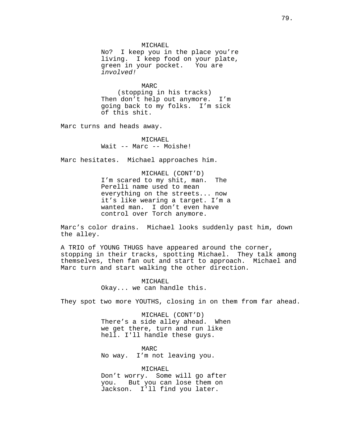MICHAEL

No? I keep you in the place you're living. I keep food on your plate, green in your pocket. You are involved!

MARC (stopping in his tracks) Then don't help out anymore. I'm going back to my folks. I'm sick of this shit.

Marc turns and heads away.

MICHAEL Wait -- Marc -- Moishe!

Marc hesitates. Michael approaches him.

MICHAEL (CONT'D) I'm scared to my shit, man. The Perelli name used to mean everything on the streets... now it's like wearing a target. I'm a wanted man. I don't even have control over Torch anymore.

Marc's color drains. Michael looks suddenly past him, down the alley.

A TRIO of YOUNG THUGS have appeared around the corner, stopping in their tracks, spotting Michael. They talk among themselves, then fan out and start to approach. Michael and Marc turn and start walking the other direction.

> MICHAEL Okay... we can handle this.

They spot two more YOUTHS, closing in on them from far ahead.

MICHAEL (CONT'D) There's a side alley ahead. When we get there, turn and run like hell. I'll handle these guys.

MARC No way. I'm not leaving you.

MICHAEL Don't worry. Some will go after you. But you can lose them on Jackson. I'll find you later.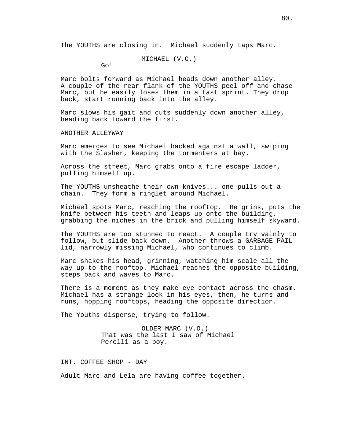The YOUTHS are closing in. Michael suddenly taps Marc.

MICHAEL (V.O.)

Go!

Marc bolts forward as Michael heads down another alley. A couple of the rear flank of the YOUTHS peel off and chase Marc, but he easily loses them in a fast sprint. They drop back, start running back into the alley.

Marc slows his gait and cuts suddenly down another alley, heading back toward the first.

ANOTHER ALLEYWAY

Marc emerges to see Michael backed against a wall, swiping with the Slasher, keeping the tormenters at bay.

Across the street, Marc grabs onto a fire escape ladder, pulling himself up.

The YOUTHS unsheathe their own knives... one pulls out a chain. They form a ringlet around Michael.

Michael spots Marc, reaching the rooftop. He grins, puts the knife between his teeth and leaps up onto the building, grabbing the niches in the brick and pulling himself skyward.

The YOUTHS are too stunned to react. A couple try vainly to follow, but slide back down. Another throws a GARBAGE PAIL lid, narrowly missing Michael, who continues to climb.

Marc shakes his head, grinning, watching him scale all the way up to the rooftop. Michael reaches the opposite building, steps back and waves to Marc.

There is a moment as they make eye contact across the chasm. Michael has a strange look in his eyes, then, he turns and runs, hopping rooftops, heading the opposite direction.

The Youths disperse, trying to follow.

OLDER MARC (V.O.) That was the last I saw of Michael Perelli as a boy.

INT. COFFEE SHOP - DAY

Adult Marc and Lela are having coffee together.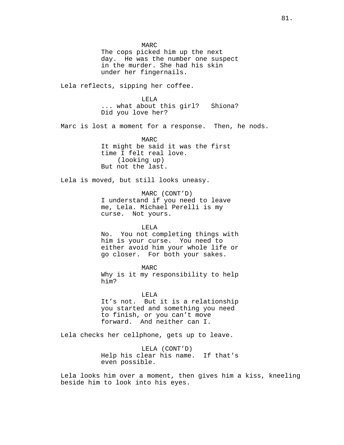MARC The cops picked him up the next day. He was the number one suspect in the murder. She had his skin under her fingernails. Lela reflects, sipping her coffee. LELA ... what about this girl? Shiona? Did you love her? Marc is lost a moment for a response. Then, he nods. MARC It might be said it was the first time I felt real love. (looking up) But not the last. Lela is moved, but still looks uneasy. MARC (CONT'D) I understand if you need to leave me, Lela. Michael Perelli is my curse. Not yours. LELA No. You not completing things with him is your curse. You need to either avoid him your whole life or go closer. For both your sakes. MARC Why is it my responsibility to help him? LELA It's not. But it is a relationship you started and something you need to finish, or you can't move forward. And neither can I. Lela checks her cellphone, gets up to leave.

> LELA (CONT'D) Help his clear his name. If that's even possible.

Lela looks him over a moment, then gives him a kiss, kneeling beside him to look into his eyes.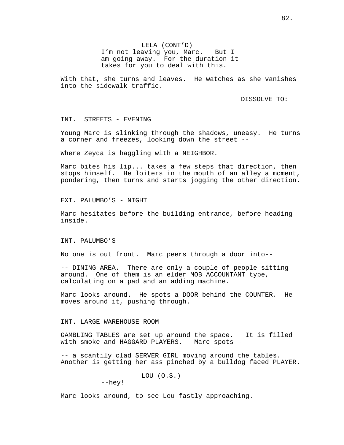LELA (CONT'D) I'm not leaving you, Marc. But I am going away. For the duration it takes for you to deal with this.

With that, she turns and leaves. He watches as she vanishes into the sidewalk traffic.

DISSOLVE TO:

INT. STREETS - EVENING

Young Marc is slinking through the shadows, uneasy. He turns a corner and freezes, looking down the street --

Where Zeyda is haggling with a NEIGHBOR.

Marc bites his lip... takes a few steps that direction, then stops himself. He loiters in the mouth of an alley a moment, pondering, then turns and starts jogging the other direction.

EXT. PALUMBO'S - NIGHT

Marc hesitates before the building entrance, before heading inside.

INT. PALUMBO'S

No one is out front. Marc peers through a door into--

-- DINING AREA. There are only a couple of people sitting around. One of them is an elder MOB ACCOUNTANT type, calculating on a pad and an adding machine.

Marc looks around. He spots a DOOR behind the COUNTER. He moves around it, pushing through.

## INT. LARGE WAREHOUSE ROOM

GAMBLING TABLES are set up around the space. It is filled with smoke and HAGGARD PLAYERS. Marc spots--

-- a scantily clad SERVER GIRL moving around the tables. Another is getting her ass pinched by a bulldog faced PLAYER.

LOU (O.S.)

--hey!

Marc looks around, to see Lou fastly approaching.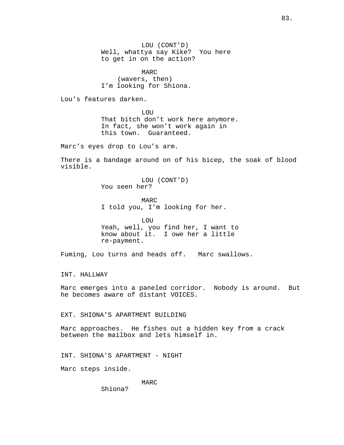LOU (CONT'D) Well, whattya say Kike? You here to get in on the action?

MARC (wavers, then) I'm looking for Shiona.

Lou's features darken.

**LOU** That bitch don't work here anymore. In fact, she won't work again in this town. Guaranteed.

Marc's eyes drop to Lou's arm.

There is a bandage around on of his bicep, the soak of blood visible.

> LOU (CONT'D) You seen her?

MARC I told you, I'm looking for her.

LOU Yeah, well, you find her, I want to know about it. I owe her a little re-payment.

Fuming, Lou turns and heads off. Marc swallows.

INT. HALLWAY

Marc emerges into a paneled corridor. Nobody is around. But he becomes aware of distant VOICES.

EXT. SHIONA'S APARTMENT BUILDING

Marc approaches. He fishes out a hidden key from a crack between the mailbox and lets himself in.

INT. SHIONA'S APARTMENT - NIGHT

Marc steps inside.

MARC

Shiona?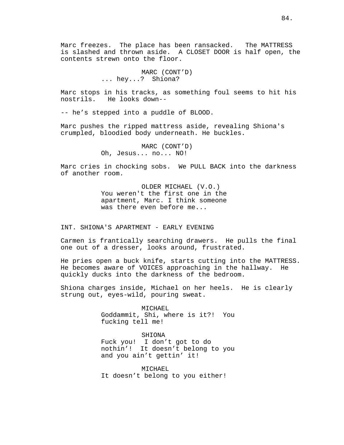Marc freezes. The place has been ransacked. The MATTRESS is slashed and thrown aside. A CLOSET DOOR is half open, the contents strewn onto the floor.

> MARC (CONT'D) ... hey...? Shiona?

Marc stops in his tracks, as something foul seems to hit his nostrils. He looks down--

-- he's stepped into a puddle of BLOOD.

Marc pushes the ripped mattress aside, revealing Shiona's crumpled, bloodied body underneath. He buckles.

> MARC (CONT'D) Oh, Jesus... no... NO!

Marc cries in chocking sobs. We PULL BACK into the darkness of another room.

> OLDER MICHAEL (V.O.) You weren't the first one in the apartment, Marc. I think someone was there even before me...

INT. SHIONA'S APARTMENT - EARLY EVENING

Carmen is frantically searching drawers. He pulls the final one out of a dresser, looks around, frustrated.

He pries open a buck knife, starts cutting into the MATTRESS. He becomes aware of VOICES approaching in the hallway. He quickly ducks into the darkness of the bedroom.

Shiona charges inside, Michael on her heels. He is clearly strung out, eyes-wild, pouring sweat.

> MICHAEL Goddammit, Shi, where is it?! You fucking tell me!

> SHIONA Fuck you! I don't got to do nothin'! It doesn't belong to you and you ain't gettin' it!

MICHAEL It doesn't belong to you either!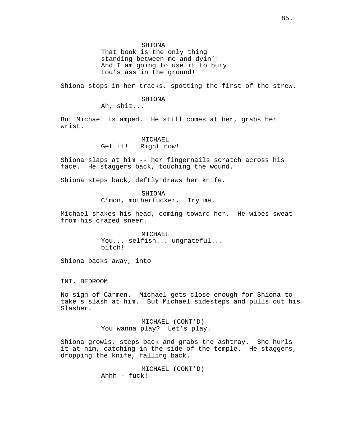SHIONA

That book is the only thing standing between me and dyin'! And I am going to use it to bury Lou's ass in the ground!

Shiona stops in her tracks, spotting the first of the strew.

### SHIONA

Ah, shit...

But Michael is amped. He still comes at her, grabs her wrist.

### MICHAEL

Get it! Right now!

Shiona slaps at him -- her fingernails scratch across his face. He staggers back, touching the wound.

Shiona steps back, deftly draws her knife.

SHIONA C'mon, motherfucker. Try me.

Michael shakes his head, coming toward her. He wipes sweat from his crazed sneer.

> MICHAEL You... selfish... ungrateful... bitch!

Shiona backs away, into --

INT. BEDROOM

No sign of Carmen. Michael gets close enough for Shiona to take s slash at him. But Michael sidesteps and pulls out his Slasher.

> MICHAEL (CONT'D) You wanna play? Let's play.

Shiona growls, steps back and grabs the ashtray. She hurls it at him, catching in the side of the temple. He staggers, dropping the knife, falling back.

> MICHAEL (CONT'D) Ahhh - fuck!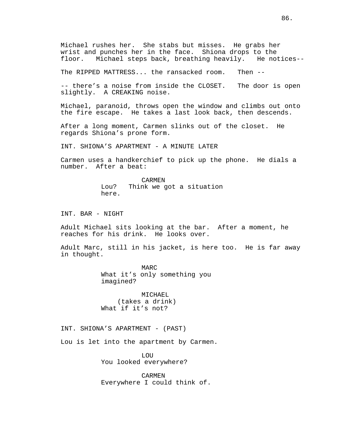Michael rushes her. She stabs but misses. He grabs her wrist and punches her in the face. Shiona drops to the<br>floor. Michael steps back, breathing heavily. He notices--Michael steps back, breathing heavily.

The RIPPED MATTRESS... the ransacked room. Then --

-- there's a noise from inside the CLOSET. The door is open slightly. A CREAKING noise.

Michael, paranoid, throws open the window and climbs out onto the fire escape. He takes a last look back, then descends.

After a long moment, Carmen slinks out of the closet. He regards Shiona's prone form.

INT. SHIONA'S APARTMENT - A MINUTE LATER

Carmen uses a handkerchief to pick up the phone. He dials a number. After a beat:

> CARMEN Lou? Think we got a situation here.

INT. BAR - NIGHT

Adult Michael sits looking at the bar. After a moment, he reaches for his drink. He looks over.

Adult Marc, still in his jacket, is here too. He is far away in thought.

> MARC What it's only something you imagined?

MICHAEL (takes a drink) What if it's not?

INT. SHIONA'S APARTMENT - (PAST)

Lou is let into the apartment by Carmen.

LOU You looked everywhere?

CARMEN Everywhere I could think of.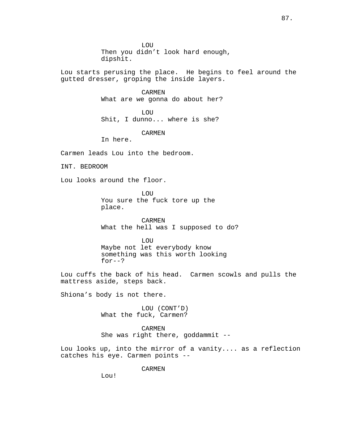LOU Then you didn't look hard enough, dipshit.

Lou starts perusing the place. He begins to feel around the gutted dresser, groping the inside layers.

> CARMEN What are we gonna do about her?

LOU Shit, I dunno... where is she?

CARMEN

In here.

Carmen leads Lou into the bedroom.

INT. BEDROOM

Lou looks around the floor.

**LOU** You sure the fuck tore up the place.

CARMEN What the hell was I supposed to do?

**LOU** Maybe not let everybody know something was this worth looking for--?

Lou cuffs the back of his head. Carmen scowls and pulls the mattress aside, steps back.

Shiona's body is not there.

LOU (CONT'D) What the fuck, Carmen?

CARMEN She was right there, goddammit --

Lou looks up, into the mirror of a vanity.... as a reflection catches his eye. Carmen points --

CARMEN

Lou!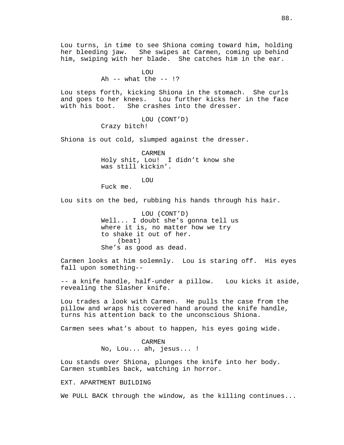Lou turns, in time to see Shiona coming toward him, holding her bleeding jaw. She swipes at Carmen, coming up behind him, swiping with her blade. She catches him in the ear.

> LOU Ah  $--$  what the  $--$  !?

Lou steps forth, kicking Shiona in the stomach. She curls and goes to her knees. Lou further kicks her in the face with his boot. She crashes into the dresser.

> LOU (CONT'D) Crazy bitch!

Shiona is out cold, slumped against the dresser.

CARMEN Holy shit, Lou! I didn't know she was still kickin'.

LOU

Fuck me.

Lou sits on the bed, rubbing his hands through his hair.

LOU (CONT'D) Well... I doubt she's gonna tell us where it is, no matter how we try to shake it out of her. (beat) She's as good as dead.

Carmen looks at him solemnly. Lou is staring off. His eyes fall upon something--

-- a knife handle, half-under a pillow. Lou kicks it aside, revealing the Slasher knife.

Lou trades a look with Carmen. He pulls the case from the pillow and wraps his covered hand around the knife handle, turns his attention back to the unconscious Shiona.

Carmen sees what's about to happen, his eyes going wide.

CARMEN No, Lou... ah, jesus... !

Lou stands over Shiona, plunges the knife into her body. Carmen stumbles back, watching in horror.

EXT. APARTMENT BUILDING

We PULL BACK through the window, as the killing continues...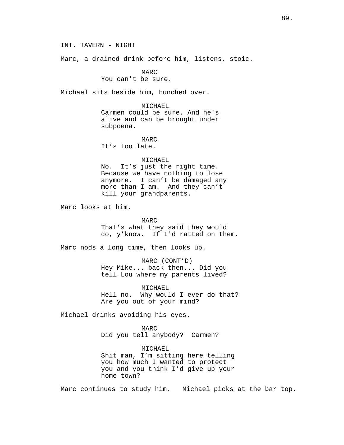INT. TAVERN - NIGHT

Marc, a drained drink before him, listens, stoic.

MARC You can't be sure.

Michael sits beside him, hunched over.

MICHAEL Carmen could be sure. And he's alive and can be brought under subpoena.

MARC It's too late.

## MICHAEL

No. It's just the right time. Because we have nothing to lose anymore. I can't be damaged any more than I am. And they can't kill your grandparents.

Marc looks at him.

MARC

That's what they said they would do, y'know. If I'd ratted on them.

Marc nods a long time, then looks up.

MARC (CONT'D) Hey Mike... back then... Did you tell Lou where my parents lived?

MICHAEL Hell no. Why would I ever do that? Are you out of your mind?

Michael drinks avoiding his eyes.

MARC

Did you tell anybody? Carmen?

MICHAEL Shit man, I'm sitting here telling you how much I wanted to protect you and you think I'd give up your home town?

Marc continues to study him. Michael picks at the bar top.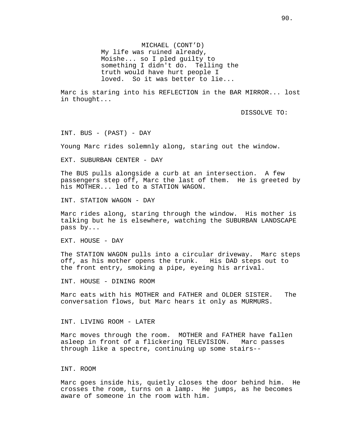MICHAEL (CONT'D) My life was ruined already, Moishe... so I pled guilty to something I didn't do. Telling the truth would have hurt people I loved. So it was better to lie...

Marc is staring into his REFLECTION in the BAR MIRROR... lost in thought...

DISSOLVE TO:

INT. BUS - (PAST) - DAY

Young Marc rides solemnly along, staring out the window.

EXT. SUBURBAN CENTER - DAY

The BUS pulls alongside a curb at an intersection. A few passengers step off, Marc the last of them. He is greeted by his MOTHER... led to a STATION WAGON.

INT. STATION WAGON - DAY

Marc rides along, staring through the window. His mother is talking but he is elsewhere, watching the SUBURBAN LANDSCAPE pass by...

EXT. HOUSE - DAY

The STATION WAGON pulls into a circular driveway. Marc steps off, as his mother opens the trunk. His DAD steps out to the front entry, smoking a pipe, eyeing his arrival.

INT. HOUSE - DINING ROOM

Marc eats with his MOTHER and FATHER and OLDER SISTER. The conversation flows, but Marc hears it only as MURMURS.

INT. LIVING ROOM - LATER

Marc moves through the room. MOTHER and FATHER have fallen asleep in front of a flickering TELEVISION. Marc passes through like a spectre, continuing up some stairs--

### INT. ROOM

Marc goes inside his, quietly closes the door behind him. He crosses the room, turns on a lamp. He jumps, as he becomes aware of someone in the room with him.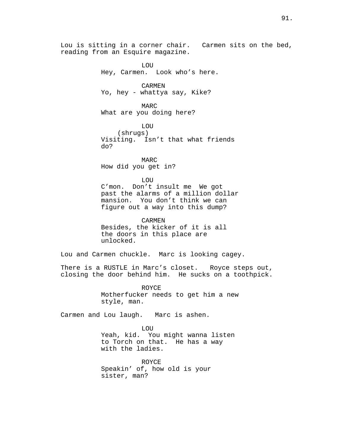Lou is sitting in a corner chair. Carmen sits on the bed, reading from an Esquire magazine.

> LOU Hey, Carmen. Look who's here.

CARMEN Yo, hey - whattya say, Kike?

MARC What are you doing here?

LOU (shrugs) Visiting. Isn't that what friends do?

MARC How did you get in?

**LOU** 

C'mon. Don't insult me We got past the alarms of a million dollar mansion. You don't think we can figure out a way into this dump?

CARMEN Besides, the kicker of it is all the doors in this place are unlocked.

Lou and Carmen chuckle. Marc is looking cagey.

There is a RUSTLE in Marc's closet. Royce steps out, closing the door behind him. He sucks on a toothpick.

> ROYCE Motherfucker needs to get him a new style, man.

Carmen and Lou laugh. Marc is ashen.

**LOU** Yeah, kid. You might wanna listen to Torch on that. He has a way with the ladies.

ROYCE Speakin' of, how old is your sister, man?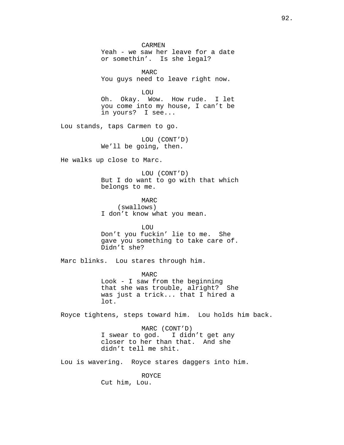CARMEN Yeah - we saw her leave for a date or somethin'. Is she legal?

MARC You guys need to leave right now.

LOU

Oh. Okay. Wow. How rude. I let you come into my house, I can't be in yours? I see...

Lou stands, taps Carmen to go.

LOU (CONT'D) We'll be going, then.

He walks up close to Marc.

LOU (CONT'D) But I do want to go with that which belongs to me.

MARC (swallows) I don't know what you mean.

LOU Don't you fuckin' lie to me. She gave you something to take care of. Didn't she?

Marc blinks. Lou stares through him.

MARC Look - I saw from the beginning that she was trouble, alright? She was just a trick... that I hired a lot.

Royce tightens, steps toward him. Lou holds him back.

MARC (CONT'D) I swear to god. I didn't get any closer to her than that. And she didn't tell me shit.

Lou is wavering. Royce stares daggers into him.

ROYCE Cut him, Lou.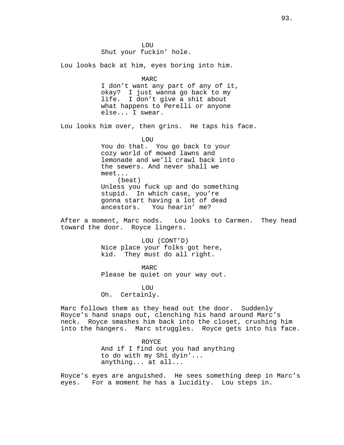**LOU** Shut your fuckin' hole.

Lou looks back at him, eyes boring into him.

MARC I don't want any part of any of it, okay? I just wanna go back to my life. I don't give a shit about what happens to Perelli or anyone else... I swear.

Lou looks him over, then grins. He taps his face.

LOU You do that. You go back to your cozy world of mowed lawns and lemonade and we'll crawl back into the sewers. And never shall we meet... (beat) Unless you fuck up and do something stupid. In which case, you're gonna start having a lot of dead You hearin' me?

After a moment, Marc nods. Lou looks to Carmen. They head toward the door. Royce lingers.

> LOU (CONT'D) Nice place your folks got here, kid. They must do all right.

MARC Please be quiet on your way out.

**LOU** Oh. Certainly.

Marc follows them as they head out the door. Suddenly Royce's hand snaps out, clenching his hand around Marc's neck. Royce smashes him back into the closet, crushing him into the hangers. Marc struggles. Royce gets into his face.

> ROYCE And if I find out you had anything to do with my Shi dyin'... anything... at all...

Royce's eyes are anguished. He sees something deep in Marc's eyes. For a moment he has a lucidity. Lou steps in.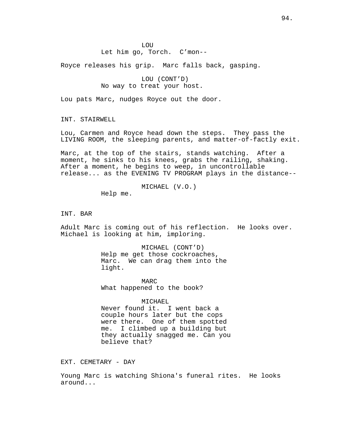## Let him go, Torch. C'mon--

Royce releases his grip. Marc falls back, gasping.

LOU (CONT'D) No way to treat your host.

Lou pats Marc, nudges Royce out the door.

INT. STAIRWELL

Lou, Carmen and Royce head down the steps. They pass the LIVING ROOM, the sleeping parents, and matter-of-factly exit.

Marc, at the top of the stairs, stands watching. After a moment, he sinks to his knees, grabs the railing, shaking. After a moment, he begins to weep, in uncontrollable release... as the EVENING TV PROGRAM plays in the distance--

MICHAEL (V.O.)

Help me.

INT. BAR

Adult Marc is coming out of his reflection. He looks over. Michael is looking at him, imploring.

> MICHAEL (CONT'D) Help me get those cockroaches, Marc. We can drag them into the light.

MARC What happened to the book?

MICHAEL.

Never found it. I went back a couple hours later but the cops were there. One of them spotted me. I climbed up a building but they actually snagged me. Can you believe that?

EXT. CEMETARY - DAY

Young Marc is watching Shiona's funeral rites. He looks around...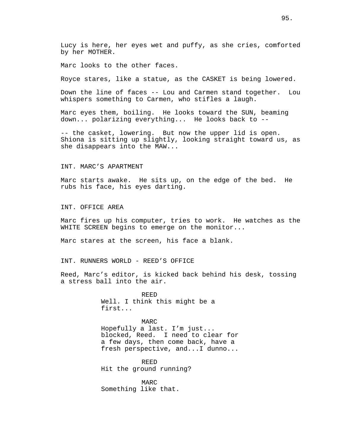Lucy is here, her eyes wet and puffy, as she cries, comforted by her MOTHER.

Marc looks to the other faces.

Royce stares, like a statue, as the CASKET is being lowered.

Down the line of faces -- Lou and Carmen stand together. Lou whispers something to Carmen, who stifles a laugh.

Marc eyes them, boiling. He looks toward the SUN, beaming down... polarizing everything... He looks back to --

-- the casket, lowering. But now the upper lid is open. Shiona is sitting up slightly, looking straight toward us, as she disappears into the MAW...

# INT. MARC'S APARTMENT

Marc starts awake. He sits up, on the edge of the bed. He rubs his face, his eyes darting.

INT. OFFICE AREA

Marc fires up his computer, tries to work. He watches as the WHITE SCREEN begins to emerge on the monitor...

Marc stares at the screen, his face a blank.

INT. RUNNERS WORLD - REED'S OFFICE

Reed, Marc's editor, is kicked back behind his desk, tossing a stress ball into the air.

> REED Well. I think this might be a first...

MARC Hopefully a last. I'm just... blocked, Reed. I need to clear for a few days, then come back, have a fresh perspective, and...I dunno...

REED Hit the ground running?

MARC Something like that.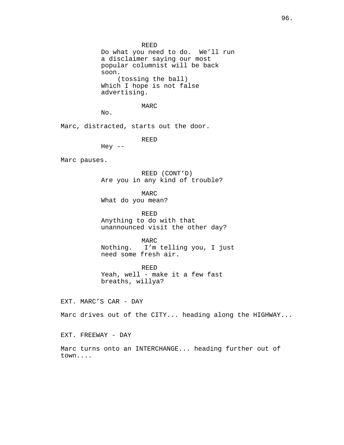REED

Do what you need to do. We'll run a disclaimer saying our most popular columnist will be back soon. (tossing the ball) Which I hope is not false advertising.

MARC

No.

Hey  $--$ 

Marc, distracted, starts out the door.

REED

Marc pauses.

REED (CONT'D) Are you in any kind of trouble?

MARC What do you mean?

REED Anything to do with that unannounced visit the other day?

MARC Nothing. I'm telling you, I just need some fresh air.

REED Yeah, well - make it a few fast breaths, willya?

EXT. MARC'S CAR - DAY

Marc drives out of the CITY... heading along the HIGHWAY...

EXT. FREEWAY - DAY

Marc turns onto an INTERCHANGE... heading further out of town....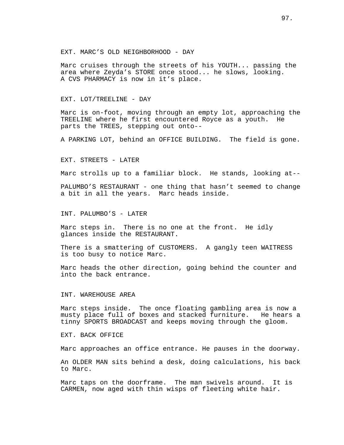EXT. MARC'S OLD NEIGHBORHOOD - DAY

Marc cruises through the streets of his YOUTH... passing the area where Zeyda's STORE once stood... he slows, looking. A CVS PHARMACY is now in it's place.

EXT. LOT/TREELINE - DAY

Marc is on-foot, moving through an empty lot, approaching the TREELINE where he first encountered Royce as a youth. He parts the TREES, stepping out onto--

A PARKING LOT, behind an OFFICE BUILDING. The field is gone.

EXT. STREETS - LATER

Marc strolls up to a familiar block. He stands, looking at--

PALUMBO'S RESTAURANT - one thing that hasn't seemed to change a bit in all the years. Marc heads inside.

INT. PALUMBO'S - LATER

Marc steps in. There is no one at the front. He idly glances inside the RESTAURANT.

There is a smattering of CUSTOMERS. A gangly teen WAITRESS is too busy to notice Marc.

Marc heads the other direction, going behind the counter and into the back entrance.

INT. WAREHOUSE AREA

Marc steps inside. The once floating gambling area is now a musty place full of boxes and stacked furniture. He hears a tinny SPORTS BROADCAST and keeps moving through the gloom.

EXT. BACK OFFICE

Marc approaches an office entrance. He pauses in the doorway.

An OLDER MAN sits behind a desk, doing calculations, his back to Marc.

Marc taps on the doorframe. The man swivels around. It is CARMEN, now aged with thin wisps of fleeting white hair.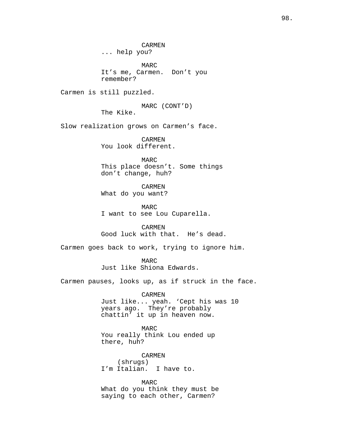CARMEN ... help you?

MARC It's me, Carmen. Don't you remember?

Carmen is still puzzled.

MARC (CONT'D)

The Kike.

Slow realization grows on Carmen's face.

CARMEN You look different.

MARC This place doesn't. Some things don't change, huh?

CARMEN What do you want?

MARC I want to see Lou Cuparella.

CARMEN Good luck with that. He's dead.

Carmen goes back to work, trying to ignore him.

MARC Just like Shiona Edwards.

Carmen pauses, looks up, as if struck in the face.

CARMEN Just like... yeah. 'Cept his was 10 years ago. They're probably chattin' it up in heaven now.

MARC You really think Lou ended up there, huh?

CARMEN (shrugs) I'm Italian. I have to.

MARC What do you think they must be saying to each other, Carmen?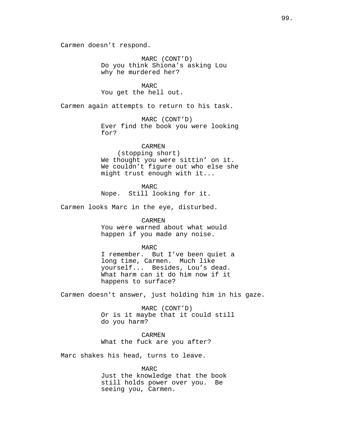Carmen doesn't respond.

MARC (CONT'D) Do you think Shiona's asking Lou why he murdered her?

MARC You get the hell out.

Carmen again attempts to return to his task.

MARC (CONT'D) Ever find the book you were looking for?

CARMEN (stopping short) We thought you were sittin' on it. We couldn't figure out who else she might trust enough with it...

MARC Nope. Still looking for it.

Carmen looks Marc in the eye, disturbed.

CARMEN You were warned about what would happen if you made any noise.

MARC I remember. But I've been quiet a long time, Carmen. Much like yourself... Besides, Lou's dead. What harm can it do him now if it happens to surface?

Carmen doesn't answer, just holding him in his gaze.

MARC (CONT'D) Or is it maybe that it could still do you harm?

CARMEN What the fuck are you after?

Marc shakes his head, turns to leave.

MARC Just the knowledge that the book still holds power over you. Be seeing you, Carmen.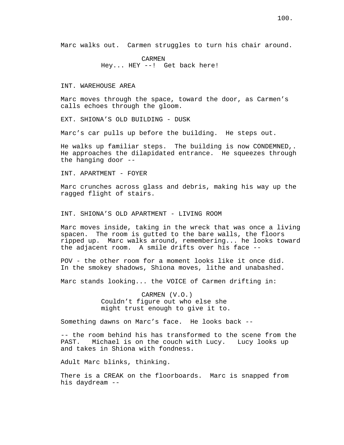Marc walks out. Carmen struggles to turn his chair around.

CARMEN Hey... HEY --! Get back here!

INT. WAREHOUSE AREA

Marc moves through the space, toward the door, as Carmen's calls echoes through the gloom.

EXT. SHIONA'S OLD BUILDING - DUSK

Marc's car pulls up before the building. He steps out.

He walks up familiar steps. The building is now CONDEMNED,. He approaches the dilapidated entrance. He squeezes through the hanging door --

INT. APARTMENT - FOYER

Marc crunches across glass and debris, making his way up the ragged flight of stairs.

INT. SHIONA'S OLD APARTMENT - LIVING ROOM

Marc moves inside, taking in the wreck that was once a living spacen. The room is gutted to the bare walls, the floors ripped up. Marc walks around, remembering... he looks toward the adjacent room. A smile drifts over his face --

POV - the other room for a moment looks like it once did. In the smokey shadows, Shiona moves, lithe and unabashed.

Marc stands looking... the VOICE of Carmen drifting in:

CARMEN (V.O.) Couldn't figure out who else she might trust enough to give it to.

Something dawns on Marc's face. He looks back --

-- the room behind his has transformed to the scene from the PAST. Michael is on the couch with Lucy. Lucy looks up and takes in Shiona with fondness.

Adult Marc blinks, thinking.

There is a CREAK on the floorboards. Marc is snapped from his daydream --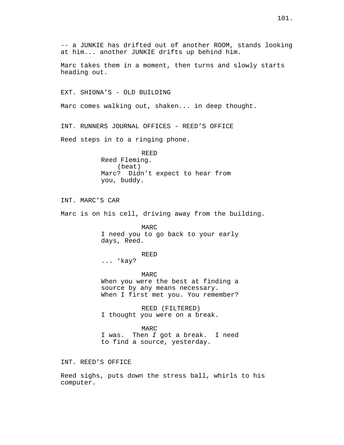-- a JUNKIE has drifted out of another ROOM, stands looking at him... another JUNKIE drifts up behind him.

Marc takes them in a moment, then turns and slowly starts heading out.

EXT. SHIONA'S - OLD BUILDING

Marc comes walking out, shaken... in deep thought.

INT. RUNNERS JOURNAL OFFICES - REED'S OFFICE

Reed steps in to a ringing phone.

REED Reed Fleming. (beat) Marc? Didn't expect to hear from you, buddy.

INT. MARC'S CAR

Marc is on his cell, driving away from the building.

MARC I need you to go back to your early days, Reed.

#### REED

... 'kay?

MARC When you were the best at finding a source by any means necessary. When I first met you. You remember?

REED (FILTERED) I thought you were on a break.

MARC I was. Then I got a break. I need to find a source, yesterday.

INT. REED'S OFFICE

Reed sighs, puts down the stress ball, whirls to his computer.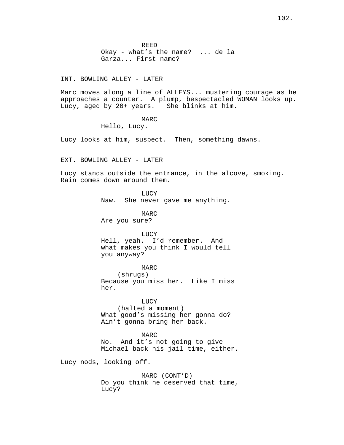REED Okay - what's the name? ... de la Garza... First name?

### INT. BOWLING ALLEY - LATER

Marc moves along a line of ALLEYS... mustering courage as he approaches a counter. A plump, bespectacled WOMAN looks up. Lucy, aged by 20+ years. She blinks at him.

MARC

Hello, Lucy.

Lucy looks at him, suspect. Then, something dawns.

EXT. BOWLING ALLEY - LATER

Lucy stands outside the entrance, in the alcove, smoking. Rain comes down around them.

**LUCY** 

Naw. She never gave me anything.

MARC Are you sure?

LUCY Hell, yeah. I'd remember. And what makes you think I would tell you anyway?

MARC (shrugs) Because you miss her. Like I miss her.

LUCY (halted a moment) What good's missing her gonna do? Ain't gonna bring her back.

MARC No. And it's not going to give Michael back his jail time, either.

Lucy nods, looking off.

MARC (CONT'D) Do you think he deserved that time, Lucy?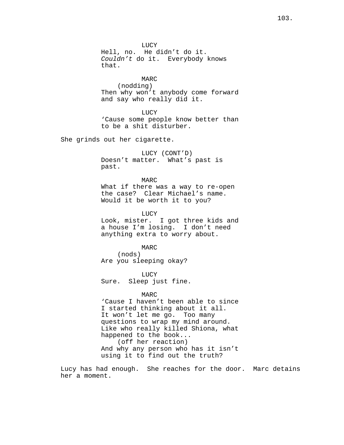LUCY Hell, no. He didn't do it. Couldn't do it. Everybody knows that.

MARC (nodding) Then why won't anybody come forward and say who really did it.

LUCY 'Cause some people know better than to be a shit disturber.

She grinds out her cigarette.

LUCY (CONT'D) Doesn't matter. What's past is past.

MARC What if there was a way to re-open the case? Clear Michael's name. Would it be worth it to you?

**LUCY** Look, mister. I got three kids and a house I'm losing. I don't need anything extra to worry about.

MARC (nods) Are you sleeping okay?

LUCY Sure. Sleep just fine.

#### MARC

'Cause I haven't been able to since I started thinking about it all. It won't let me go. Too many questions to wrap my mind around. Like who really killed Shiona, what happened to the book... (off her reaction) And why any person who has it isn't using it to find out the truth?

Lucy has had enough. She reaches for the door. Marc detains her a moment.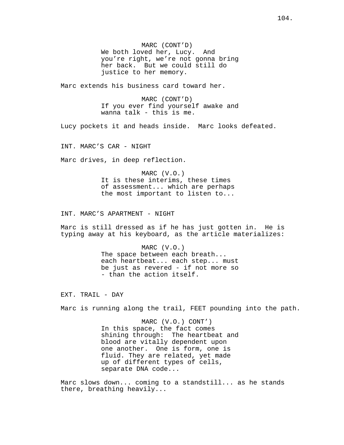MARC (CONT'D) We both loved her, Lucy. And you're right, we're not gonna bring her back. But we could still do justice to her memory.

Marc extends his business card toward her.

MARC (CONT'D) If you ever find yourself awake and wanna talk - this is me.

Lucy pockets it and heads inside. Marc looks defeated.

INT. MARC'S CAR - NIGHT

Marc drives, in deep reflection.

MARC (V.O.) It is these interims, these times of assessment... which are perhaps the most important to listen to...

INT. MARC'S APARTMENT - NIGHT

Marc is still dressed as if he has just gotten in. He is typing away at his keyboard, as the article materializes:

> MARC (V.O.) The space between each breath... each heartbeat... each step... must be just as revered - if not more so - than the action itself.

EXT. TRAIL - DAY

Marc is running along the trail, FEET pounding into the path.

MARC (V.O.) CONT') In this space, the fact comes shining through: The heartbeat and blood are vitally dependent upon one another. One is form, one is fluid. They are related, yet made up of different types of cells, separate DNA code...

Marc slows down... coming to a standstill... as he stands there, breathing heavily...